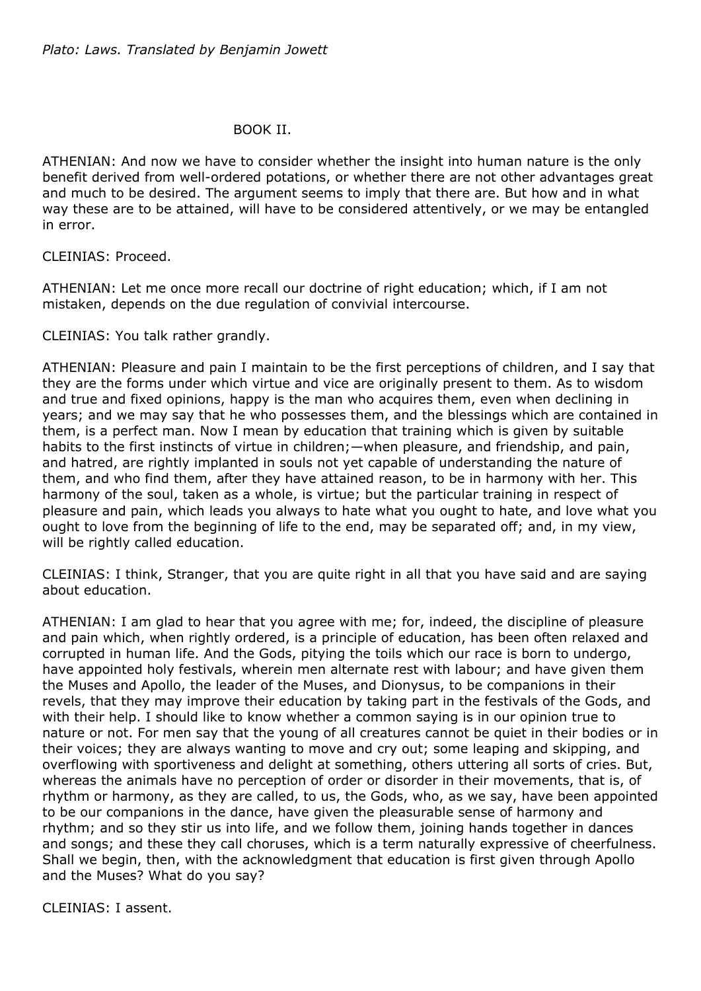## BOOK II.

ATHENIAN: And now we have to consider whether the insight into human nature is the only benefit derived from well-ordered potations, or whether there are not other advantages great and much to be desired. The argument seems to imply that there are. But how and in what way these are to be attained, will have to be considered attentively, or we may be entangled in error.

CLEINIAS: Proceed.

ATHENIAN: Let me once more recall our doctrine of right education; which, if I am not mistaken, depends on the due regulation of convivial intercourse.

CLEINIAS: You talk rather grandly.

ATHENIAN: Pleasure and pain I maintain to be the first perceptions of children, and I say that they are the forms under which virtue and vice are originally present to them. As to wisdom and true and fixed opinions, happy is the man who acquires them, even when declining in years; and we may say that he who possesses them, and the blessings which are contained in them, is a perfect man. Now I mean by education that training which is given by suitable habits to the first instincts of virtue in children; —when pleasure, and friendship, and pain, and hatred, are rightly implanted in souls not yet capable of understanding the nature of them, and who find them, after they have attained reason, to be in harmony with her. This harmony of the soul, taken as a whole, is virtue; but the particular training in respect of pleasure and pain, which leads you always to hate what you ought to hate, and love what you ought to love from the beginning of life to the end, may be separated off; and, in my view, will be rightly called education.

CLEINIAS: I think, Stranger, that you are quite right in all that you have said and are saying about education.

ATHENIAN: I am glad to hear that you agree with me; for, indeed, the discipline of pleasure and pain which, when rightly ordered, is a principle of education, has been often relaxed and corrupted in human life. And the Gods, pitying the toils which our race is born to undergo, have appointed holy festivals, wherein men alternate rest with labour; and have given them the Muses and Apollo, the leader of the Muses, and Dionysus, to be companions in their revels, that they may improve their education by taking part in the festivals of the Gods, and with their help. I should like to know whether a common saying is in our opinion true to nature or not. For men say that the young of all creatures cannot be quiet in their bodies or in their voices; they are always wanting to move and cry out; some leaping and skipping, and overflowing with sportiveness and delight at something, others uttering all sorts of cries. But, whereas the animals have no perception of order or disorder in their movements, that is, of rhythm or harmony, as they are called, to us, the Gods, who, as we say, have been appointed to be our companions in the dance, have given the pleasurable sense of harmony and rhythm; and so they stir us into life, and we follow them, joining hands together in dances and songs; and these they call choruses, which is a term naturally expressive of cheerfulness. Shall we begin, then, with the acknowledgment that education is first given through Apollo and the Muses? What do you say?

CLEINIAS: I assent.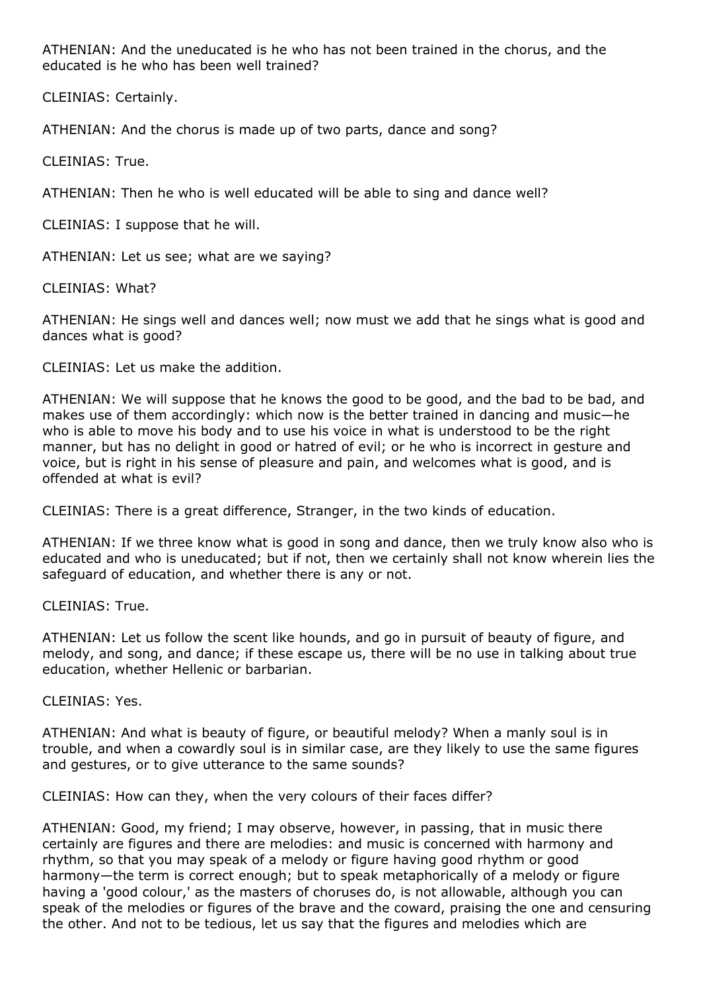ATHENIAN: And the uneducated is he who has not been trained in the chorus, and the educated is he who has been well trained?

CLEINIAS: Certainly.

ATHENIAN: And the chorus is made up of two parts, dance and song?

CLEINIAS: True.

ATHENIAN: Then he who is well educated will be able to sing and dance well?

CLEINIAS: I suppose that he will.

ATHENIAN: Let us see; what are we saying?

CLEINIAS: What?

ATHENIAN: He sings well and dances well; now must we add that he sings what is good and dances what is good?

CLEINIAS: Let us make the addition.

ATHENIAN: We will suppose that he knows the good to be good, and the bad to be bad, and makes use of them accordingly: which now is the better trained in dancing and music—he who is able to move his body and to use his voice in what is understood to be the right manner, but has no delight in good or hatred of evil; or he who is incorrect in gesture and voice, but is right in his sense of pleasure and pain, and welcomes what is good, and is offended at what is evil?

CLEINIAS: There is a great difference, Stranger, in the two kinds of education.

ATHENIAN: If we three know what is good in song and dance, then we truly know also who is educated and who is uneducated; but if not, then we certainly shall not know wherein lies the safeguard of education, and whether there is any or not.

CLEINIAS: True.

ATHENIAN: Let us follow the scent like hounds, and go in pursuit of beauty of figure, and melody, and song, and dance; if these escape us, there will be no use in talking about true education, whether Hellenic or barbarian.

CLEINIAS: Yes.

ATHENIAN: And what is beauty of figure, or beautiful melody? When a manly soul is in trouble, and when a cowardly soul is in similar case, are they likely to use the same figures and gestures, or to give utterance to the same sounds?

CLEINIAS: How can they, when the very colours of their faces differ?

ATHENIAN: Good, my friend; I may observe, however, in passing, that in music there certainly are figures and there are melodies: and music is concerned with harmony and rhythm, so that you may speak of a melody or figure having good rhythm or good harmony—the term is correct enough; but to speak metaphorically of a melody or figure having a 'good colour,' as the masters of choruses do, is not allowable, although you can speak of the melodies or figures of the brave and the coward, praising the one and censuring the other. And not to be tedious, let us say that the figures and melodies which are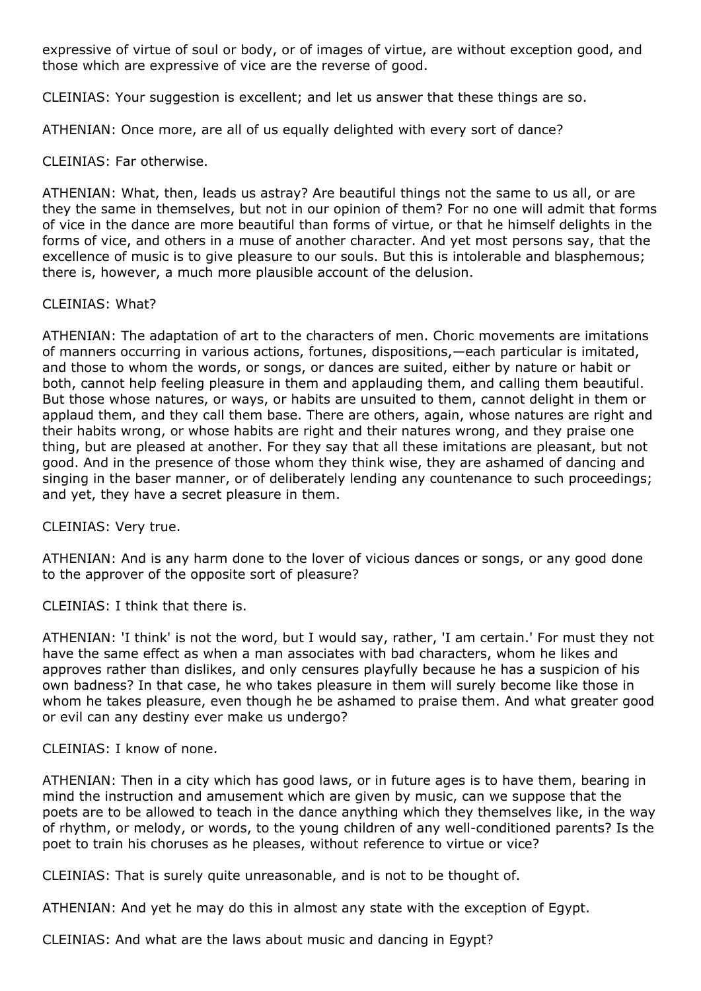expressive of virtue of soul or body, or of images of virtue, are without exception good, and those which are expressive of vice are the reverse of good.

CLEINIAS: Your suggestion is excellent; and let us answer that these things are so.

ATHENIAN: Once more, are all of us equally delighted with every sort of dance?

# CLEINIAS: Far otherwise.

ATHENIAN: What, then, leads us astray? Are beautiful things not the same to us all, or are they the same in themselves, but not in our opinion of them? For no one will admit that forms of vice in the dance are more beautiful than forms of virtue, or that he himself delights in the forms of vice, and others in a muse of another character. And yet most persons say, that the excellence of music is to give pleasure to our souls. But this is intolerable and blasphemous; there is, however, a much more plausible account of the delusion.

# CLEINIAS: What?

ATHENIAN: The adaptation of art to the characters of men. Choric movements are imitations of manners occurring in various actions, fortunes, dispositions,—each particular is imitated, and those to whom the words, or songs, or dances are suited, either by nature or habit or both, cannot help feeling pleasure in them and applauding them, and calling them beautiful. But those whose natures, or ways, or habits are unsuited to them, cannot delight in them or applaud them, and they call them base. There are others, again, whose natures are right and their habits wrong, or whose habits are right and their natures wrong, and they praise one thing, but are pleased at another. For they say that all these imitations are pleasant, but not good. And in the presence of those whom they think wise, they are ashamed of dancing and singing in the baser manner, or of deliberately lending any countenance to such proceedings; and yet, they have a secret pleasure in them.

CLEINIAS: Very true.

ATHENIAN: And is any harm done to the lover of vicious dances or songs, or any good done to the approver of the opposite sort of pleasure?

CLEINIAS: I think that there is.

ATHENIAN: 'I think' is not the word, but I would say, rather, 'I am certain.' For must they not have the same effect as when a man associates with bad characters, whom he likes and approves rather than dislikes, and only censures playfully because he has a suspicion of his own badness? In that case, he who takes pleasure in them will surely become like those in whom he takes pleasure, even though he be ashamed to praise them. And what greater good or evil can any destiny ever make us undergo?

## CLEINIAS: I know of none.

ATHENIAN: Then in a city which has good laws, or in future ages is to have them, bearing in mind the instruction and amusement which are given by music, can we suppose that the poets are to be allowed to teach in the dance anything which they themselves like, in the way of rhythm, or melody, or words, to the young children of any well-conditioned parents? Is the poet to train his choruses as he pleases, without reference to virtue or vice?

CLEINIAS: That is surely quite unreasonable, and is not to be thought of.

ATHENIAN: And yet he may do this in almost any state with the exception of Egypt.

CLEINIAS: And what are the laws about music and dancing in Egypt?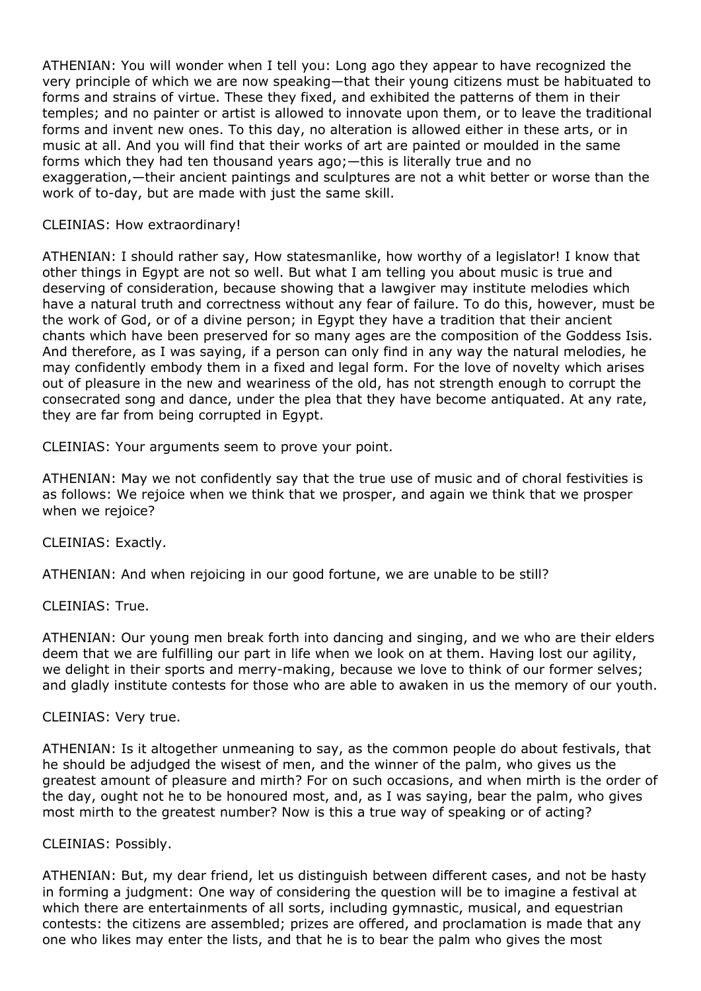ATHENIAN: You will wonder when I tell you: Long ago they appear to have recognized the very principle of which we are now speaking—that their young citizens must be habituated to forms and strains of virtue. These they fixed, and exhibited the patterns of them in their temples; and no painter or artist is allowed to innovate upon them, or to leave the traditional forms and invent new ones. To this day, no alteration is allowed either in these arts, or in music at all. And you will find that their works of art are painted or moulded in the same forms which they had ten thousand years ago;—this is literally true and no exaggeration,—their ancient paintings and sculptures are not a whit better or worse than the work of to-day, but are made with just the same skill.

# CLEINIAS: How extraordinary!

ATHENIAN: I should rather say, How statesmanlike, how worthy of a legislator! I know that other things in Egypt are not so well. But what I am telling you about music is true and deserving of consideration, because showing that a lawgiver may institute melodies which have a natural truth and correctness without any fear of failure. To do this, however, must be the work of God, or of a divine person; in Egypt they have a tradition that their ancient chants which have been preserved for so many ages are the composition of the Goddess Isis. And therefore, as I was saying, if a person can only find in any way the natural melodies, he may confidently embody them in a fixed and legal form. For the love of novelty which arises out of pleasure in the new and weariness of the old, has not strength enough to corrupt the consecrated song and dance, under the plea that they have become antiquated. At any rate, they are far from being corrupted in Egypt.

CLEINIAS: Your arguments seem to prove your point.

ATHENIAN: May we not confidently say that the true use of music and of choral festivities is as follows: We rejoice when we think that we prosper, and again we think that we prosper when we rejoice?

CLEINIAS: Exactly.

ATHENIAN: And when rejoicing in our good fortune, we are unable to be still?

CLEINIAS: True.

ATHENIAN: Our young men break forth into dancing and singing, and we who are their elders deem that we are fulfilling our part in life when we look on at them. Having lost our agility, we delight in their sports and merry-making, because we love to think of our former selves; and gladly institute contests for those who are able to awaken in us the memory of our youth.

## CLEINIAS: Very true.

ATHENIAN: Is it altogether unmeaning to say, as the common people do about festivals, that he should be adjudged the wisest of men, and the winner of the palm, who gives us the greatest amount of pleasure and mirth? For on such occasions, and when mirth is the order of the day, ought not he to be honoured most, and, as I was saying, bear the palm, who gives most mirth to the greatest number? Now is this a true way of speaking or of acting?

## CLEINIAS: Possibly.

ATHENIAN: But, my dear friend, let us distinguish between different cases, and not be hasty in forming a judgment: One way of considering the question will be to imagine a festival at which there are entertainments of all sorts, including gymnastic, musical, and equestrian contests: the citizens are assembled; prizes are offered, and proclamation is made that any one who likes may enter the lists, and that he is to bear the palm who gives the most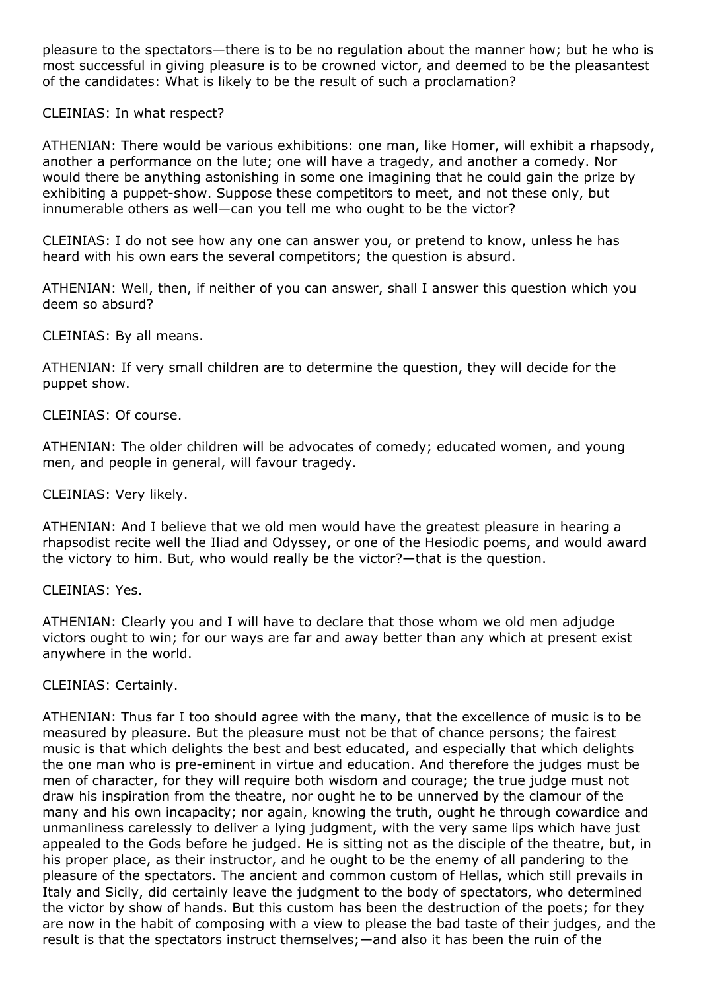pleasure to the spectators—there is to be no regulation about the manner how; but he who is most successful in giving pleasure is to be crowned victor, and deemed to be the pleasantest of the candidates: What is likely to be the result of such a proclamation?

CLEINIAS: In what respect?

ATHENIAN: There would be various exhibitions: one man, like Homer, will exhibit a rhapsody, another a performance on the lute; one will have a tragedy, and another a comedy. Nor would there be anything astonishing in some one imagining that he could gain the prize by exhibiting a puppet-show. Suppose these competitors to meet, and not these only, but innumerable others as well—can you tell me who ought to be the victor?

CLEINIAS: I do not see how any one can answer you, or pretend to know, unless he has heard with his own ears the several competitors; the question is absurd.

ATHENIAN: Well, then, if neither of you can answer, shall I answer this question which you deem so absurd?

CLEINIAS: By all means.

ATHENIAN: If very small children are to determine the question, they will decide for the puppet show.

CLEINIAS: Of course.

ATHENIAN: The older children will be advocates of comedy; educated women, and young men, and people in general, will favour tragedy.

CLEINIAS: Very likely.

ATHENIAN: And I believe that we old men would have the greatest pleasure in hearing a rhapsodist recite well the Iliad and Odyssey, or one of the Hesiodic poems, and would award the victory to him. But, who would really be the victor?—that is the question.

CLEINIAS: Yes.

ATHENIAN: Clearly you and I will have to declare that those whom we old men adjudge victors ought to win; for our ways are far and away better than any which at present exist anywhere in the world.

CLEINIAS: Certainly.

ATHENIAN: Thus far I too should agree with the many, that the excellence of music is to be measured by pleasure. But the pleasure must not be that of chance persons; the fairest music is that which delights the best and best educated, and especially that which delights the one man who is pre-eminent in virtue and education. And therefore the judges must be men of character, for they will require both wisdom and courage; the true judge must not draw his inspiration from the theatre, nor ought he to be unnerved by the clamour of the many and his own incapacity; nor again, knowing the truth, ought he through cowardice and unmanliness carelessly to deliver a lying judgment, with the very same lips which have just appealed to the Gods before he judged. He is sitting not as the disciple of the theatre, but, in his proper place, as their instructor, and he ought to be the enemy of all pandering to the pleasure of the spectators. The ancient and common custom of Hellas, which still prevails in Italy and Sicily, did certainly leave the judgment to the body of spectators, who determined the victor by show of hands. But this custom has been the destruction of the poets; for they are now in the habit of composing with a view to please the bad taste of their judges, and the result is that the spectators instruct themselves;—and also it has been the ruin of the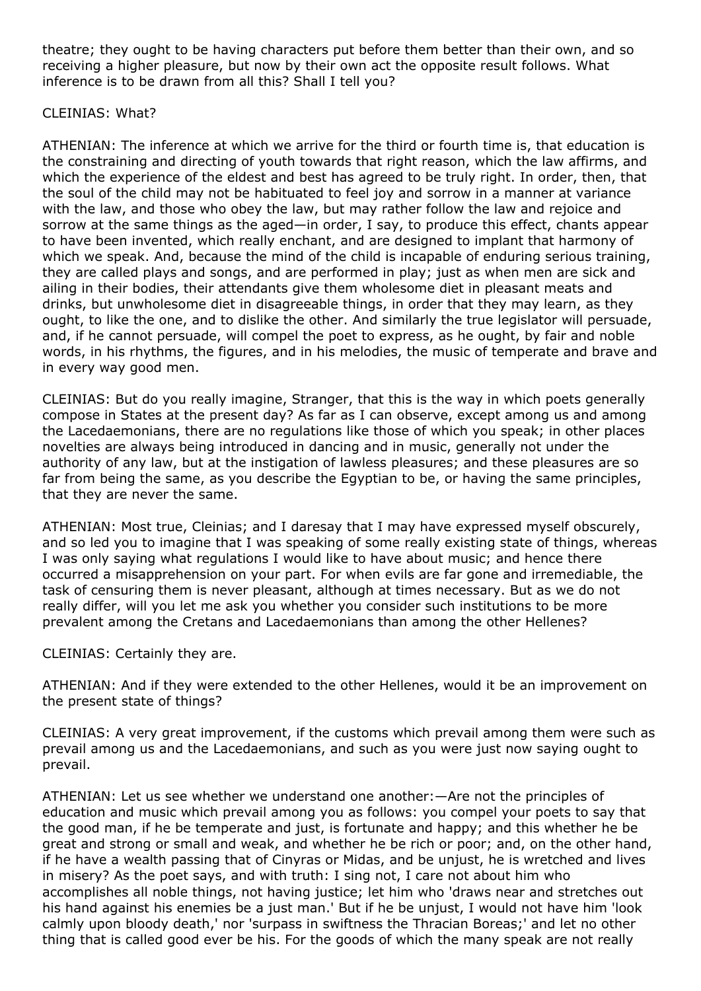theatre; they ought to be having characters put before them better than their own, and so receiving a higher pleasure, but now by their own act the opposite result follows. What inference is to be drawn from all this? Shall I tell you?

# CLEINIAS: What?

ATHENIAN: The inference at which we arrive for the third or fourth time is, that education is the constraining and directing of youth towards that right reason, which the law affirms, and which the experience of the eldest and best has agreed to be truly right. In order, then, that the soul of the child may not be habituated to feel joy and sorrow in a manner at variance with the law, and those who obey the law, but may rather follow the law and rejoice and sorrow at the same things as the aged—in order, I say, to produce this effect, chants appear to have been invented, which really enchant, and are designed to implant that harmony of which we speak. And, because the mind of the child is incapable of enduring serious training, they are called plays and songs, and are performed in play; just as when men are sick and ailing in their bodies, their attendants give them wholesome diet in pleasant meats and drinks, but unwholesome diet in disagreeable things, in order that they may learn, as they ought, to like the one, and to dislike the other. And similarly the true legislator will persuade, and, if he cannot persuade, will compel the poet to express, as he ought, by fair and noble words, in his rhythms, the figures, and in his melodies, the music of temperate and brave and in every way good men.

CLEINIAS: But do you really imagine, Stranger, that this is the way in which poets generally compose in States at the present day? As far as I can observe, except among us and among the Lacedaemonians, there are no regulations like those of which you speak; in other places novelties are always being introduced in dancing and in music, generally not under the authority of any law, but at the instigation of lawless pleasures; and these pleasures are so far from being the same, as you describe the Egyptian to be, or having the same principles, that they are never the same.

ATHENIAN: Most true, Cleinias; and I daresay that I may have expressed myself obscurely, and so led you to imagine that I was speaking of some really existing state of things, whereas I was only saying what regulations I would like to have about music; and hence there occurred a misapprehension on your part. For when evils are far gone and irremediable, the task of censuring them is never pleasant, although at times necessary. But as we do not really differ, will you let me ask you whether you consider such institutions to be more prevalent among the Cretans and Lacedaemonians than among the other Hellenes?

CLEINIAS: Certainly they are.

ATHENIAN: And if they were extended to the other Hellenes, would it be an improvement on the present state of things?

CLEINIAS: A very great improvement, if the customs which prevail among them were such as prevail among us and the Lacedaemonians, and such as you were just now saying ought to prevail.

ATHENIAN: Let us see whether we understand one another:—Are not the principles of education and music which prevail among you as follows: you compel your poets to say that the good man, if he be temperate and just, is fortunate and happy; and this whether he be great and strong or small and weak, and whether he be rich or poor; and, on the other hand, if he have a wealth passing that of Cinyras or Midas, and be unjust, he is wretched and lives in misery? As the poet says, and with truth: I sing not, I care not about him who accomplishes all noble things, not having justice; let him who 'draws near and stretches out his hand against his enemies be a just man.' But if he be unjust, I would not have him 'look calmly upon bloody death,' nor 'surpass in swiftness the Thracian Boreas;' and let no other thing that is called good ever be his. For the goods of which the many speak are not really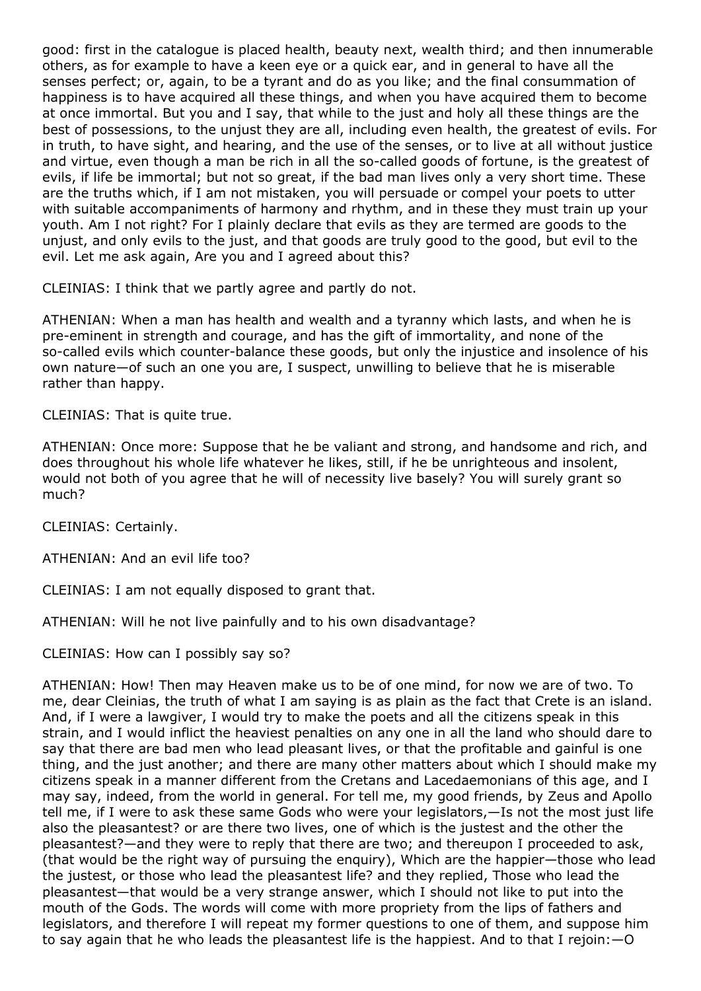good: first in the catalogue is placed health, beauty next, wealth third; and then innumerable others, as for example to have a keen eye or a quick ear, and in general to have all the senses perfect; or, again, to be a tyrant and do as you like; and the final consummation of happiness is to have acquired all these things, and when you have acquired them to become at once immortal. But you and I say, that while to the just and holy all these things are the best of possessions, to the unjust they are all, including even health, the greatest of evils. For in truth, to have sight, and hearing, and the use of the senses, or to live at all without justice and virtue, even though a man be rich in all the so-called goods of fortune, is the greatest of evils, if life be immortal; but not so great, if the bad man lives only a very short time. These are the truths which, if I am not mistaken, you will persuade or compel your poets to utter with suitable accompaniments of harmony and rhythm, and in these they must train up your youth. Am I not right? For I plainly declare that evils as they are termed are goods to the unjust, and only evils to the just, and that goods are truly good to the good, but evil to the evil. Let me ask again, Are you and I agreed about this?

CLEINIAS: I think that we partly agree and partly do not.

ATHENIAN: When a man has health and wealth and a tyranny which lasts, and when he is pre-eminent in strength and courage, and has the gift of immortality, and none of the so-called evils which counter-balance these goods, but only the injustice and insolence of his own nature—of such an one you are, I suspect, unwilling to believe that he is miserable rather than happy.

CLEINIAS: That is quite true.

ATHENIAN: Once more: Suppose that he be valiant and strong, and handsome and rich, and does throughout his whole life whatever he likes, still, if he be unrighteous and insolent, would not both of you agree that he will of necessity live basely? You will surely grant so much?

CLEINIAS: Certainly.

ATHENIAN: And an evil life too?

CLEINIAS: I am not equally disposed to grant that.

ATHENIAN: Will he not live painfully and to his own disadvantage?

CLEINIAS: How can I possibly say so?

ATHENIAN: How! Then may Heaven make us to be of one mind, for now we are of two. To me, dear Cleinias, the truth of what I am saying is as plain as the fact that Crete is an island. And, if I were a lawgiver, I would try to make the poets and all the citizens speak in this strain, and I would inflict the heaviest penalties on any one in all the land who should dare to say that there are bad men who lead pleasant lives, or that the profitable and gainful is one thing, and the just another; and there are many other matters about which I should make my citizens speak in a manner different from the Cretans and Lacedaemonians of this age, and I may say, indeed, from the world in general. For tell me, my good friends, by Zeus and Apollo tell me, if I were to ask these same Gods who were your legislators,—Is not the most just life also the pleasantest? or are there two lives, one of which is the justest and the other the pleasantest?—and they were to reply that there are two; and thereupon I proceeded to ask, (that would be the right way of pursuing the enquiry), Which are the happier—those who lead the justest, or those who lead the pleasantest life? and they replied, Those who lead the pleasantest—that would be a very strange answer, which I should not like to put into the mouth of the Gods. The words will come with more propriety from the lips of fathers and legislators, and therefore I will repeat my former questions to one of them, and suppose him to say again that he who leads the pleasantest life is the happiest. And to that I rejoin:—O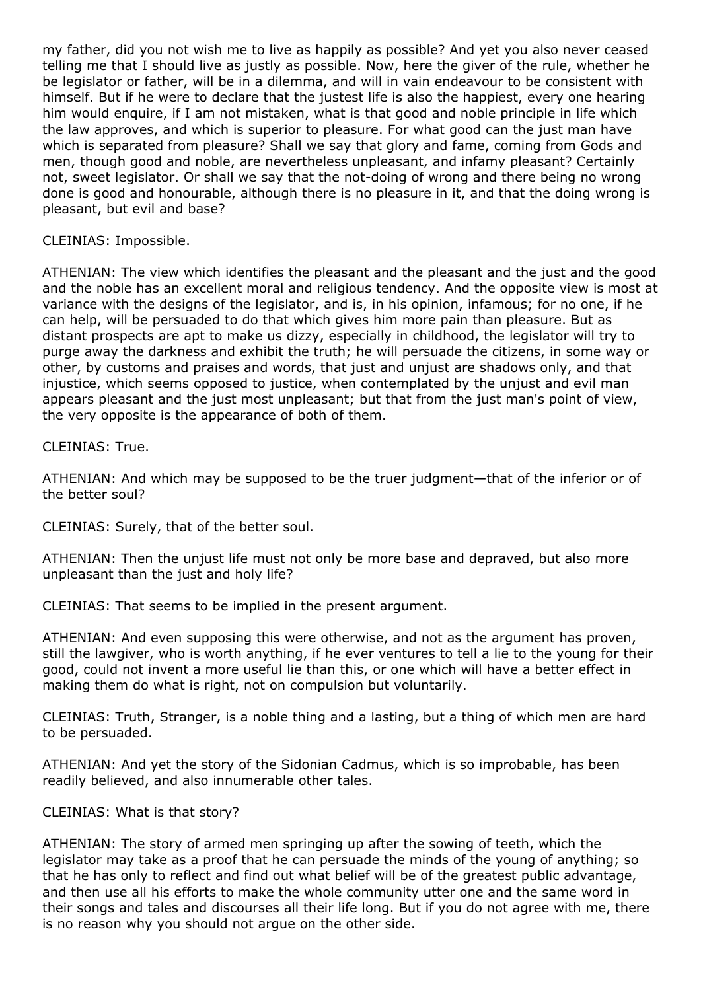my father, did you not wish me to live as happily as possible? And yet you also never ceased telling me that I should live as justly as possible. Now, here the giver of the rule, whether he be legislator or father, will be in a dilemma, and will in vain endeavour to be consistent with himself. But if he were to declare that the justest life is also the happiest, every one hearing him would enquire, if I am not mistaken, what is that good and noble principle in life which the law approves, and which is superior to pleasure. For what good can the just man have which is separated from pleasure? Shall we say that glory and fame, coming from Gods and men, though good and noble, are nevertheless unpleasant, and infamy pleasant? Certainly not, sweet legislator. Or shall we say that the not-doing of wrong and there being no wrong done is good and honourable, although there is no pleasure in it, and that the doing wrong is pleasant, but evil and base?

# CLEINIAS: Impossible.

ATHENIAN: The view which identifies the pleasant and the pleasant and the just and the good and the noble has an excellent moral and religious tendency. And the opposite view is most at variance with the designs of the legislator, and is, in his opinion, infamous; for no one, if he can help, will be persuaded to do that which gives him more pain than pleasure. But as distant prospects are apt to make us dizzy, especially in childhood, the legislator will try to purge away the darkness and exhibit the truth; he will persuade the citizens, in some way or other, by customs and praises and words, that just and unjust are shadows only, and that injustice, which seems opposed to justice, when contemplated by the unjust and evil man appears pleasant and the just most unpleasant; but that from the just man's point of view, the very opposite is the appearance of both of them.

CLEINIAS: True.

ATHENIAN: And which may be supposed to be the truer judgment—that of the inferior or of the better soul?

CLEINIAS: Surely, that of the better soul.

ATHENIAN: Then the unjust life must not only be more base and depraved, but also more unpleasant than the just and holy life?

CLEINIAS: That seems to be implied in the present argument.

ATHENIAN: And even supposing this were otherwise, and not as the argument has proven, still the lawgiver, who is worth anything, if he ever ventures to tell a lie to the young for their good, could not invent a more useful lie than this, or one which will have a better effect in making them do what is right, not on compulsion but voluntarily.

CLEINIAS: Truth, Stranger, is a noble thing and a lasting, but a thing of which men are hard to be persuaded.

ATHENIAN: And yet the story of the Sidonian Cadmus, which is so improbable, has been readily believed, and also innumerable other tales.

CLEINIAS: What is that story?

ATHENIAN: The story of armed men springing up after the sowing of teeth, which the legislator may take as a proof that he can persuade the minds of the young of anything; so that he has only to reflect and find out what belief will be of the greatest public advantage, and then use all his efforts to make the whole community utter one and the same word in their songs and tales and discourses all their life long. But if you do not agree with me, there is no reason why you should not argue on the other side.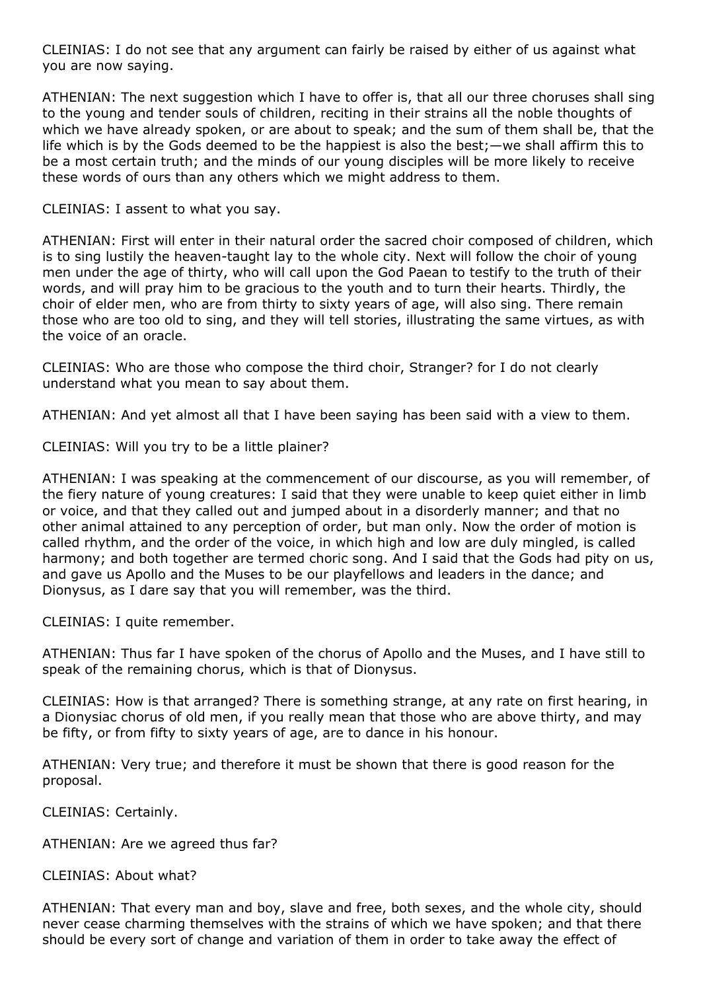CLEINIAS: I do not see that any argument can fairly be raised by either of us against what you are now saying.

ATHENIAN: The next suggestion which I have to offer is, that all our three choruses shall sing to the young and tender souls of children, reciting in their strains all the noble thoughts of which we have already spoken, or are about to speak; and the sum of them shall be, that the life which is by the Gods deemed to be the happiest is also the best;—we shall affirm this to be a most certain truth; and the minds of our young disciples will be more likely to receive these words of ours than any others which we might address to them.

CLEINIAS: I assent to what you say.

ATHENIAN: First will enter in their natural order the sacred choir composed of children, which is to sing lustily the heaven-taught lay to the whole city. Next will follow the choir of young men under the age of thirty, who will call upon the God Paean to testify to the truth of their words, and will pray him to be gracious to the youth and to turn their hearts. Thirdly, the choir of elder men, who are from thirty to sixty years of age, will also sing. There remain those who are too old to sing, and they will tell stories, illustrating the same virtues, as with the voice of an oracle.

CLEINIAS: Who are those who compose the third choir, Stranger? for I do not clearly understand what you mean to say about them.

ATHENIAN: And yet almost all that I have been saying has been said with a view to them.

CLEINIAS: Will you try to be a little plainer?

ATHENIAN: I was speaking at the commencement of our discourse, as you will remember, of the fiery nature of young creatures: I said that they were unable to keep quiet either in limb or voice, and that they called out and jumped about in a disorderly manner; and that no other animal attained to any perception of order, but man only. Now the order of motion is called rhythm, and the order of the voice, in which high and low are duly mingled, is called harmony; and both together are termed choric song. And I said that the Gods had pity on us, and gave us Apollo and the Muses to be our playfellows and leaders in the dance; and Dionysus, as I dare say that you will remember, was the third.

CLEINIAS: I quite remember.

ATHENIAN: Thus far I have spoken of the chorus of Apollo and the Muses, and I have still to speak of the remaining chorus, which is that of Dionysus.

CLEINIAS: How is that arranged? There is something strange, at any rate on first hearing, in a Dionysiac chorus of old men, if you really mean that those who are above thirty, and may be fifty, or from fifty to sixty years of age, are to dance in his honour.

ATHENIAN: Very true; and therefore it must be shown that there is good reason for the proposal.

CLEINIAS: Certainly.

ATHENIAN: Are we agreed thus far?

CLEINIAS: About what?

ATHENIAN: That every man and boy, slave and free, both sexes, and the whole city, should never cease charming themselves with the strains of which we have spoken; and that there should be every sort of change and variation of them in order to take away the effect of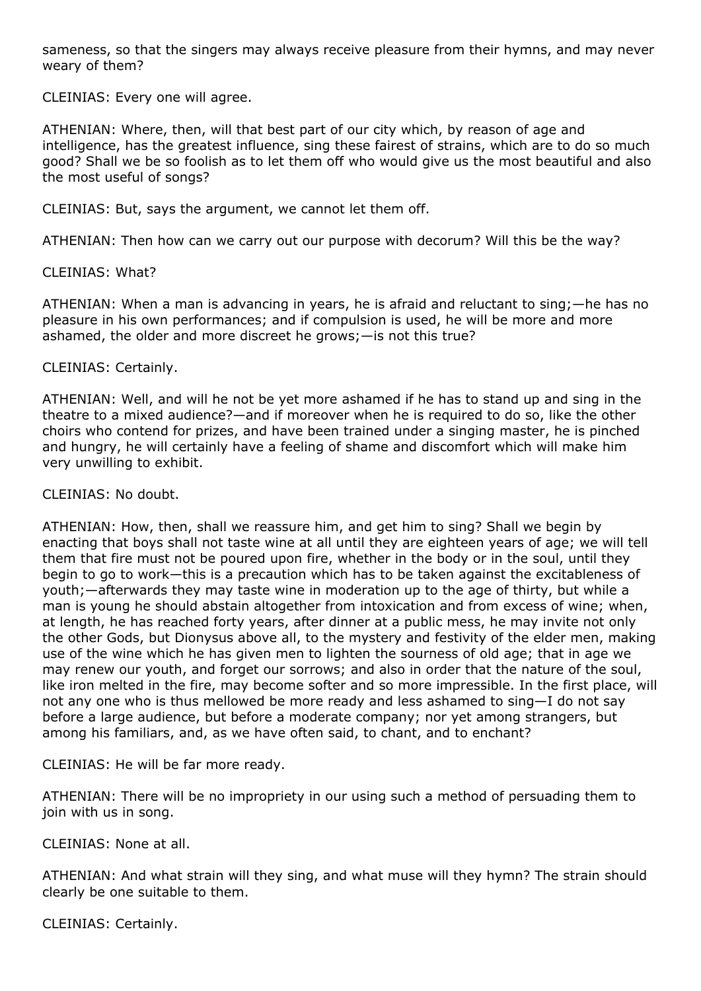sameness, so that the singers may always receive pleasure from their hymns, and may never weary of them?

CLEINIAS: Every one will agree.

ATHENIAN: Where, then, will that best part of our city which, by reason of age and intelligence, has the greatest influence, sing these fairest of strains, which are to do so much good? Shall we be so foolish as to let them off who would give us the most beautiful and also the most useful of songs?

CLEINIAS: But, says the argument, we cannot let them off.

ATHENIAN: Then how can we carry out our purpose with decorum? Will this be the way?

# CLEINIAS: What?

ATHENIAN: When a man is advancing in years, he is afraid and reluctant to sing;—he has no pleasure in his own performances; and if compulsion is used, he will be more and more ashamed, the older and more discreet he grows;—is not this true?

# CLEINIAS: Certainly.

ATHENIAN: Well, and will he not be yet more ashamed if he has to stand up and sing in the theatre to a mixed audience?—and if moreover when he is required to do so, like the other choirs who contend for prizes, and have been trained under a singing master, he is pinched and hungry, he will certainly have a feeling of shame and discomfort which will make him very unwilling to exhibit.

# CLEINIAS: No doubt.

ATHENIAN: How, then, shall we reassure him, and get him to sing? Shall we begin by enacting that boys shall not taste wine at all until they are eighteen years of age; we will tell them that fire must not be poured upon fire, whether in the body or in the soul, until they begin to go to work—this is a precaution which has to be taken against the excitableness of youth;—afterwards they may taste wine in moderation up to the age of thirty, but while a man is young he should abstain altogether from intoxication and from excess of wine; when, at length, he has reached forty years, after dinner at a public mess, he may invite not only the other Gods, but Dionysus above all, to the mystery and festivity of the elder men, making use of the wine which he has given men to lighten the sourness of old age; that in age we may renew our youth, and forget our sorrows; and also in order that the nature of the soul, like iron melted in the fire, may become softer and so more impressible. In the first place, will not any one who is thus mellowed be more ready and less ashamed to sing—I do not say before a large audience, but before a moderate company; nor yet among strangers, but among his familiars, and, as we have often said, to chant, and to enchant?

CLEINIAS: He will be far more ready.

ATHENIAN: There will be no impropriety in our using such a method of persuading them to join with us in song.

CLEINIAS: None at all.

ATHENIAN: And what strain will they sing, and what muse will they hymn? The strain should clearly be one suitable to them.

CLEINIAS: Certainly.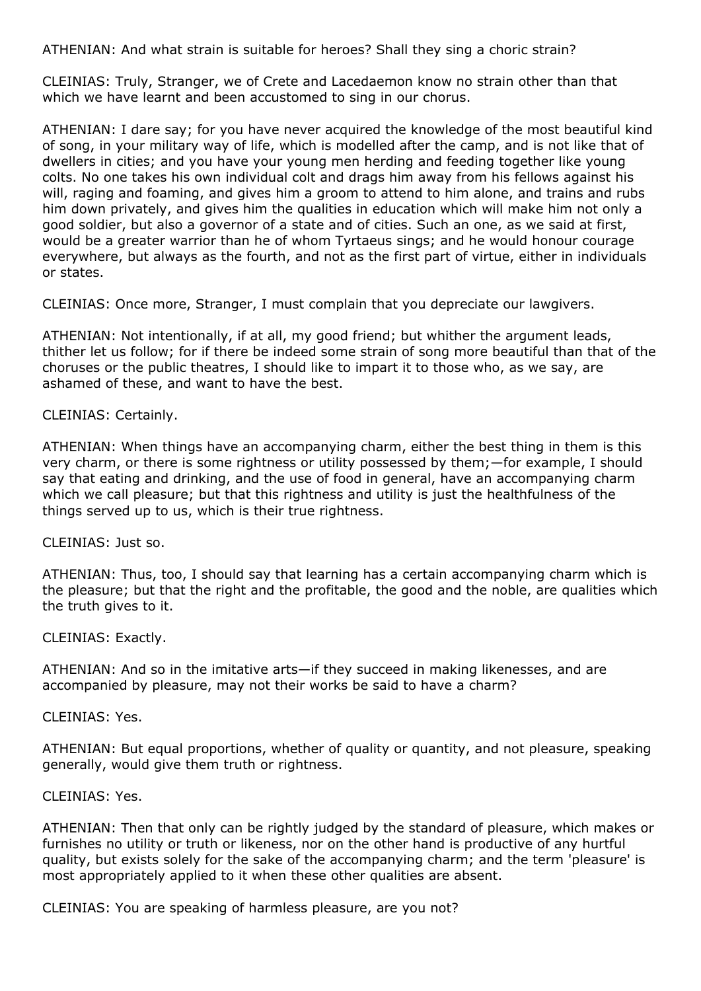ATHENIAN: And what strain is suitable for heroes? Shall they sing a choric strain?

CLEINIAS: Truly, Stranger, we of Crete and Lacedaemon know no strain other than that which we have learnt and been accustomed to sing in our chorus.

ATHENIAN: I dare say; for you have never acquired the knowledge of the most beautiful kind of song, in your military way of life, which is modelled after the camp, and is not like that of dwellers in cities; and you have your young men herding and feeding together like young colts. No one takes his own individual colt and drags him away from his fellows against his will, raging and foaming, and gives him a groom to attend to him alone, and trains and rubs him down privately, and gives him the qualities in education which will make him not only a good soldier, but also a governor of a state and of cities. Such an one, as we said at first, would be a greater warrior than he of whom Tyrtaeus sings; and he would honour courage everywhere, but always as the fourth, and not as the first part of virtue, either in individuals or states.

CLEINIAS: Once more, Stranger, I must complain that you depreciate our lawgivers.

ATHENIAN: Not intentionally, if at all, my good friend; but whither the argument leads, thither let us follow; for if there be indeed some strain of song more beautiful than that of the choruses or the public theatres, I should like to impart it to those who, as we say, are ashamed of these, and want to have the best.

### CLEINIAS: Certainly.

ATHENIAN: When things have an accompanying charm, either the best thing in them is this very charm, or there is some rightness or utility possessed by them;—for example, I should say that eating and drinking, and the use of food in general, have an accompanying charm which we call pleasure; but that this rightness and utility is just the healthfulness of the things served up to us, which is their true rightness.

CLEINIAS: Just so.

ATHENIAN: Thus, too, I should say that learning has a certain accompanying charm which is the pleasure; but that the right and the profitable, the good and the noble, are qualities which the truth gives to it.

CLEINIAS: Exactly.

ATHENIAN: And so in the imitative arts—if they succeed in making likenesses, and are accompanied by pleasure, may not their works be said to have a charm?

CLEINIAS: Yes.

ATHENIAN: But equal proportions, whether of quality or quantity, and not pleasure, speaking generally, would give them truth or rightness.

#### CLEINIAS: Yes.

ATHENIAN: Then that only can be rightly judged by the standard of pleasure, which makes or furnishes no utility or truth or likeness, nor on the other hand is productive of any hurtful quality, but exists solely for the sake of the accompanying charm; and the term 'pleasure' is most appropriately applied to it when these other qualities are absent.

CLEINIAS: You are speaking of harmless pleasure, are you not?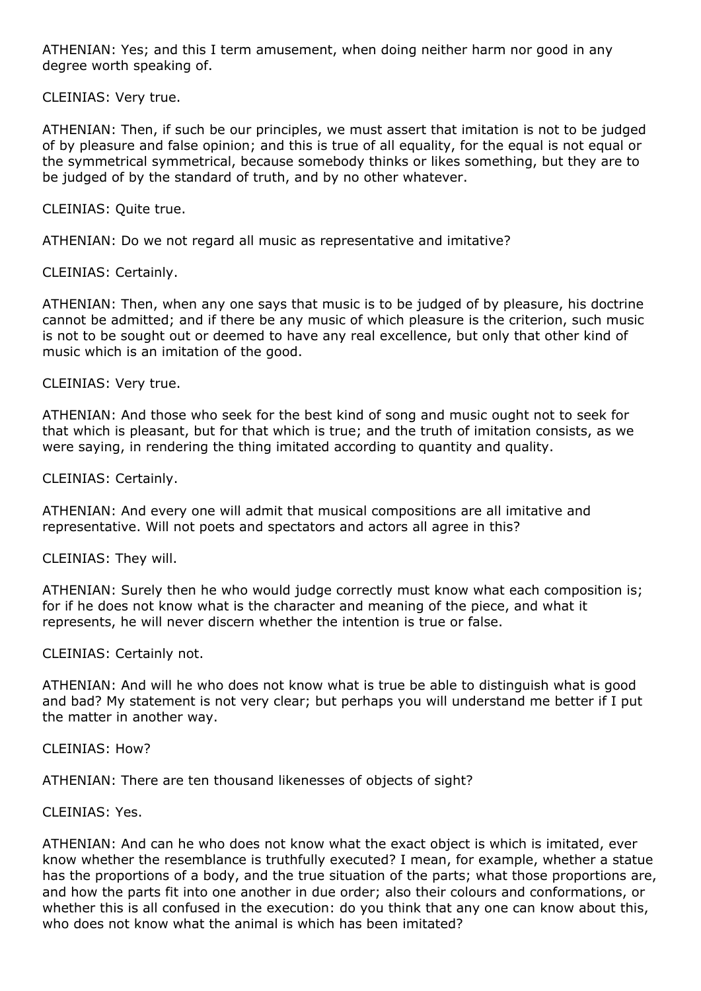ATHENIAN: Yes; and this I term amusement, when doing neither harm nor good in any degree worth speaking of.

CLEINIAS: Very true.

ATHENIAN: Then, if such be our principles, we must assert that imitation is not to be judged of by pleasure and false opinion; and this is true of all equality, for the equal is not equal or the symmetrical symmetrical, because somebody thinks or likes something, but they are to be judged of by the standard of truth, and by no other whatever.

CLEINIAS: Quite true.

ATHENIAN: Do we not regard all music as representative and imitative?

CLEINIAS: Certainly.

ATHENIAN: Then, when any one says that music is to be judged of by pleasure, his doctrine cannot be admitted; and if there be any music of which pleasure is the criterion, such music is not to be sought out or deemed to have any real excellence, but only that other kind of music which is an imitation of the good.

CLEINIAS: Very true.

ATHENIAN: And those who seek for the best kind of song and music ought not to seek for that which is pleasant, but for that which is true; and the truth of imitation consists, as we were saying, in rendering the thing imitated according to quantity and quality.

CLEINIAS: Certainly.

ATHENIAN: And every one will admit that musical compositions are all imitative and representative. Will not poets and spectators and actors all agree in this?

CLEINIAS: They will.

ATHENIAN: Surely then he who would judge correctly must know what each composition is; for if he does not know what is the character and meaning of the piece, and what it represents, he will never discern whether the intention is true or false.

CLEINIAS: Certainly not.

ATHENIAN: And will he who does not know what is true be able to distinguish what is good and bad? My statement is not very clear; but perhaps you will understand me better if I put the matter in another way.

CLEINIAS: How?

ATHENIAN: There are ten thousand likenesses of objects of sight?

CLEINIAS: Yes.

ATHENIAN: And can he who does not know what the exact object is which is imitated, ever know whether the resemblance is truthfully executed? I mean, for example, whether a statue has the proportions of a body, and the true situation of the parts; what those proportions are, and how the parts fit into one another in due order; also their colours and conformations, or whether this is all confused in the execution: do you think that any one can know about this, who does not know what the animal is which has been imitated?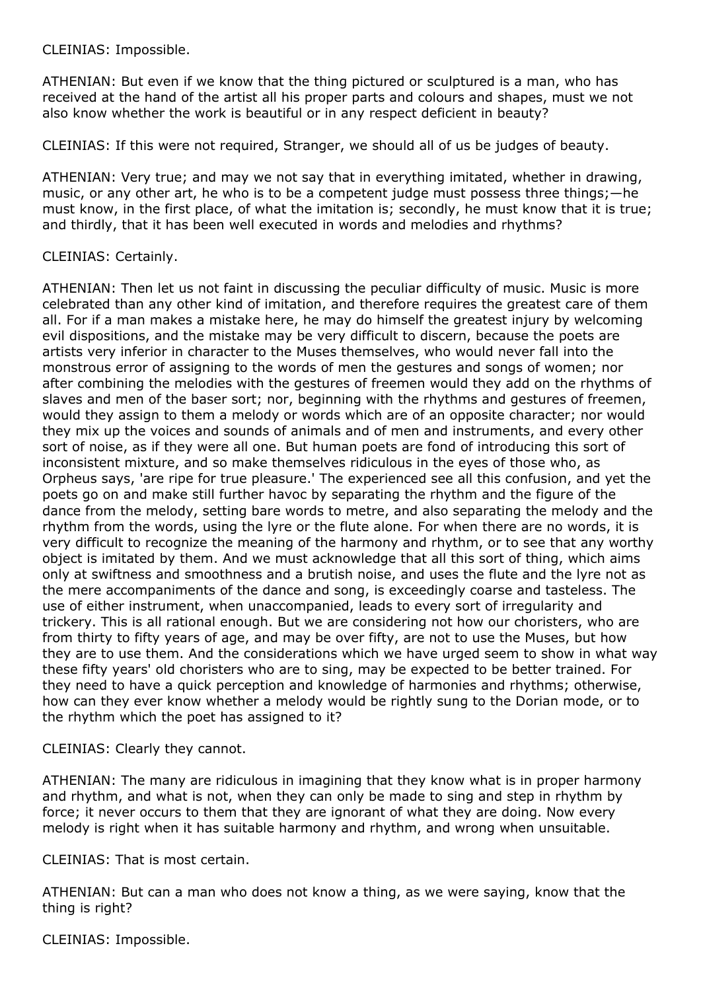CLEINIAS: Impossible.

ATHENIAN: But even if we know that the thing pictured or sculptured is a man, who has received at the hand of the artist all his proper parts and colours and shapes, must we not also know whether the work is beautiful or in any respect deficient in beauty?

CLEINIAS: If this were not required, Stranger, we should all of us be judges of beauty.

ATHENIAN: Very true; and may we not say that in everything imitated, whether in drawing, music, or any other art, he who is to be a competent judge must possess three things;—he must know, in the first place, of what the imitation is; secondly, he must know that it is true; and thirdly, that it has been well executed in words and melodies and rhythms?

# CLEINIAS: Certainly.

ATHENIAN: Then let us not faint in discussing the peculiar difficulty of music. Music is more celebrated than any other kind of imitation, and therefore requires the greatest care of them all. For if a man makes a mistake here, he may do himself the greatest injury by welcoming evil dispositions, and the mistake may be very difficult to discern, because the poets are artists very inferior in character to the Muses themselves, who would never fall into the monstrous error of assigning to the words of men the gestures and songs of women; nor after combining the melodies with the gestures of freemen would they add on the rhythms of slaves and men of the baser sort; nor, beginning with the rhythms and gestures of freemen, would they assign to them a melody or words which are of an opposite character; nor would they mix up the voices and sounds of animals and of men and instruments, and every other sort of noise, as if they were all one. But human poets are fond of introducing this sort of inconsistent mixture, and so make themselves ridiculous in the eyes of those who, as Orpheus says, 'are ripe for true pleasure.' The experienced see all this confusion, and yet the poets go on and make still further havoc by separating the rhythm and the figure of the dance from the melody, setting bare words to metre, and also separating the melody and the rhythm from the words, using the lyre or the flute alone. For when there are no words, it is very difficult to recognize the meaning of the harmony and rhythm, or to see that any worthy object is imitated by them. And we must acknowledge that all this sort of thing, which aims only at swiftness and smoothness and a brutish noise, and uses the flute and the lyre not as the mere accompaniments of the dance and song, is exceedingly coarse and tasteless. The use of either instrument, when unaccompanied, leads to every sort of irregularity and trickery. This is all rational enough. But we are considering not how our choristers, who are from thirty to fifty years of age, and may be over fifty, are not to use the Muses, but how they are to use them. And the considerations which we have urged seem to show in what way these fifty years' old choristers who are to sing, may be expected to be better trained. For they need to have a quick perception and knowledge of harmonies and rhythms; otherwise, how can they ever know whether a melody would be rightly sung to the Dorian mode, or to the rhythm which the poet has assigned to it?

CLEINIAS: Clearly they cannot.

ATHENIAN: The many are ridiculous in imagining that they know what is in proper harmony and rhythm, and what is not, when they can only be made to sing and step in rhythm by force; it never occurs to them that they are ignorant of what they are doing. Now every melody is right when it has suitable harmony and rhythm, and wrong when unsuitable.

CLEINIAS: That is most certain.

ATHENIAN: But can a man who does not know a thing, as we were saying, know that the thing is right?

CLEINIAS: Impossible.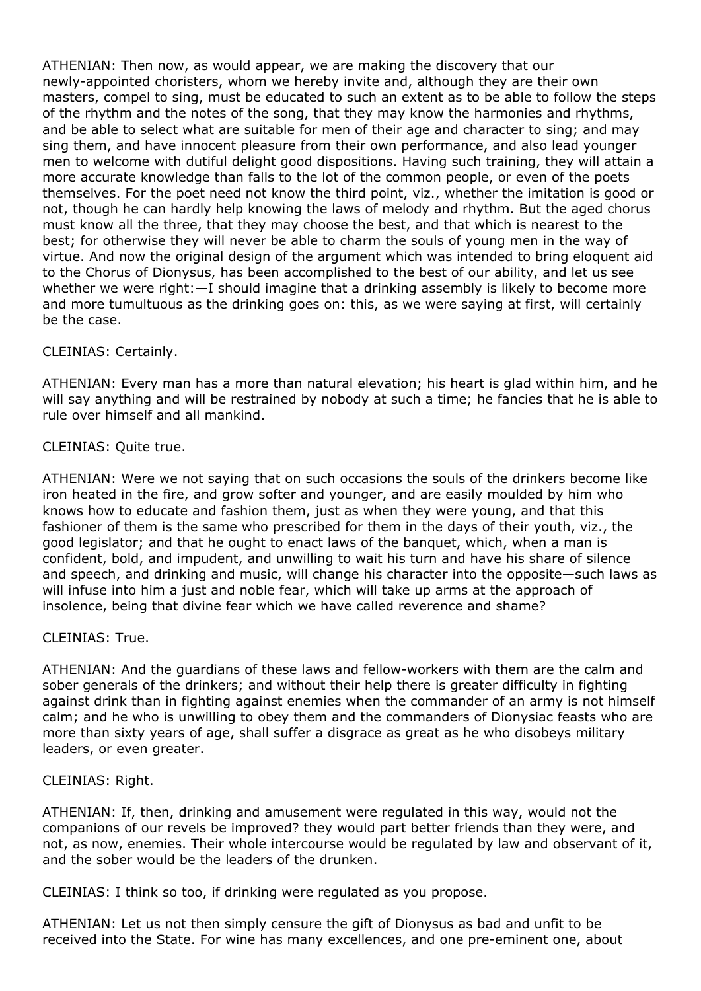ATHENIAN: Then now, as would appear, we are making the discovery that our newly-appointed choristers, whom we hereby invite and, although they are their own masters, compel to sing, must be educated to such an extent as to be able to follow the steps of the rhythm and the notes of the song, that they may know the harmonies and rhythms, and be able to select what are suitable for men of their age and character to sing; and may sing them, and have innocent pleasure from their own performance, and also lead younger men to welcome with dutiful delight good dispositions. Having such training, they will attain a more accurate knowledge than falls to the lot of the common people, or even of the poets themselves. For the poet need not know the third point, viz., whether the imitation is good or not, though he can hardly help knowing the laws of melody and rhythm. But the aged chorus must know all the three, that they may choose the best, and that which is nearest to the best; for otherwise they will never be able to charm the souls of young men in the way of virtue. And now the original design of the argument which was intended to bring eloquent aid to the Chorus of Dionysus, has been accomplished to the best of our ability, and let us see whether we were right:—I should imagine that a drinking assembly is likely to become more and more tumultuous as the drinking goes on: this, as we were saying at first, will certainly be the case.

# CLEINIAS: Certainly.

ATHENIAN: Every man has a more than natural elevation; his heart is glad within him, and he will say anything and will be restrained by nobody at such a time; he fancies that he is able to rule over himself and all mankind.

# CLEINIAS: Quite true.

ATHENIAN: Were we not saying that on such occasions the souls of the drinkers become like iron heated in the fire, and grow softer and younger, and are easily moulded by him who knows how to educate and fashion them, just as when they were young, and that this fashioner of them is the same who prescribed for them in the days of their youth, viz., the good legislator; and that he ought to enact laws of the banquet, which, when a man is confident, bold, and impudent, and unwilling to wait his turn and have his share of silence and speech, and drinking and music, will change his character into the opposite—such laws as will infuse into him a just and noble fear, which will take up arms at the approach of insolence, being that divine fear which we have called reverence and shame?

## CLEINIAS: True.

ATHENIAN: And the guardians of these laws and fellow-workers with them are the calm and sober generals of the drinkers; and without their help there is greater difficulty in fighting against drink than in fighting against enemies when the commander of an army is not himself calm; and he who is unwilling to obey them and the commanders of Dionysiac feasts who are more than sixty years of age, shall suffer a disgrace as great as he who disobeys military leaders, or even greater.

## CLEINIAS: Right.

ATHENIAN: If, then, drinking and amusement were regulated in this way, would not the companions of our revels be improved? they would part better friends than they were, and not, as now, enemies. Their whole intercourse would be regulated by law and observant of it, and the sober would be the leaders of the drunken.

CLEINIAS: I think so too, if drinking were regulated as you propose.

ATHENIAN: Let us not then simply censure the gift of Dionysus as bad and unfit to be received into the State. For wine has many excellences, and one pre-eminent one, about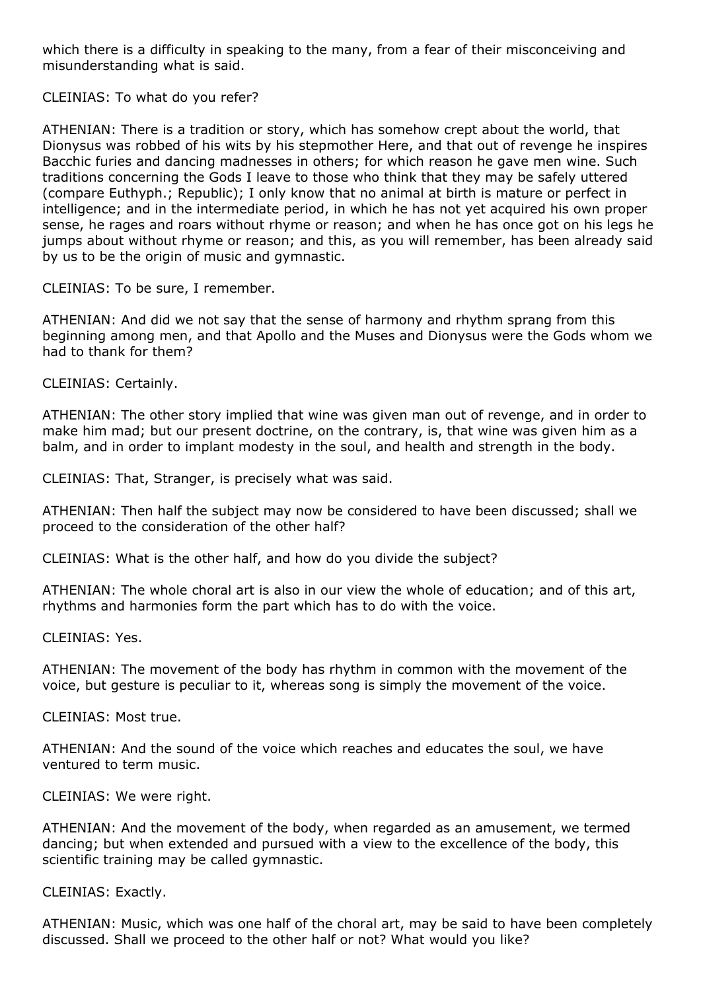which there is a difficulty in speaking to the many, from a fear of their misconceiving and misunderstanding what is said.

CLEINIAS: To what do you refer?

ATHENIAN: There is a tradition or story, which has somehow crept about the world, that Dionysus was robbed of his wits by his stepmother Here, and that out of revenge he inspires Bacchic furies and dancing madnesses in others; for which reason he gave men wine. Such traditions concerning the Gods I leave to those who think that they may be safely uttered (compare Euthyph.; Republic); I only know that no animal at birth is mature or perfect in intelligence; and in the intermediate period, in which he has not yet acquired his own proper sense, he rages and roars without rhyme or reason; and when he has once got on his legs he jumps about without rhyme or reason; and this, as you will remember, has been already said by us to be the origin of music and gymnastic.

CLEINIAS: To be sure, I remember.

ATHENIAN: And did we not say that the sense of harmony and rhythm sprang from this beginning among men, and that Apollo and the Muses and Dionysus were the Gods whom we had to thank for them?

CLEINIAS: Certainly.

ATHENIAN: The other story implied that wine was given man out of revenge, and in order to make him mad; but our present doctrine, on the contrary, is, that wine was given him as a balm, and in order to implant modesty in the soul, and health and strength in the body.

CLEINIAS: That, Stranger, is precisely what was said.

ATHENIAN: Then half the subject may now be considered to have been discussed; shall we proceed to the consideration of the other half?

CLEINIAS: What is the other half, and how do you divide the subject?

ATHENIAN: The whole choral art is also in our view the whole of education; and of this art, rhythms and harmonies form the part which has to do with the voice.

CLEINIAS: Yes.

ATHENIAN: The movement of the body has rhythm in common with the movement of the voice, but gesture is peculiar to it, whereas song is simply the movement of the voice.

CLEINIAS: Most true.

ATHENIAN: And the sound of the voice which reaches and educates the soul, we have ventured to term music.

CLEINIAS: We were right.

ATHENIAN: And the movement of the body, when regarded as an amusement, we termed dancing; but when extended and pursued with a view to the excellence of the body, this scientific training may be called gymnastic.

CLEINIAS: Exactly.

ATHENIAN: Music, which was one half of the choral art, may be said to have been completely discussed. Shall we proceed to the other half or not? What would you like?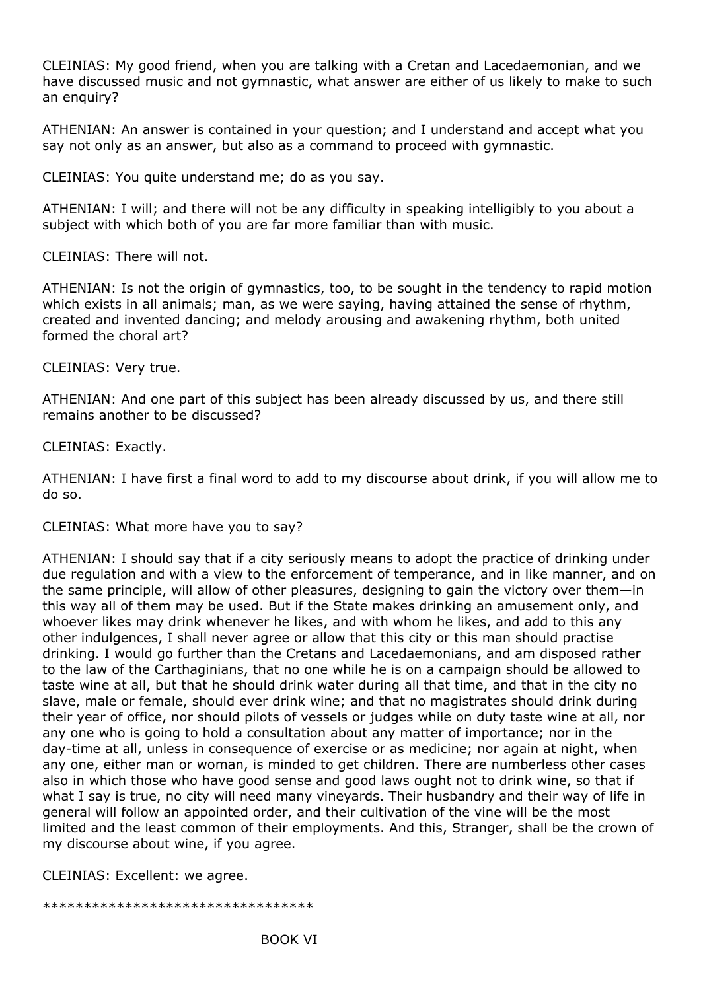CLEINIAS: My good friend, when you are talking with a Cretan and Lacedaemonian, and we have discussed music and not gymnastic, what answer are either of us likely to make to such an enquiry?

ATHENIAN: An answer is contained in your question; and I understand and accept what you say not only as an answer, but also as a command to proceed with gymnastic.

CLEINIAS: You quite understand me; do as you say.

ATHENIAN: I will; and there will not be any difficulty in speaking intelligibly to you about a subject with which both of you are far more familiar than with music.

CLEINIAS: There will not.

ATHENIAN: Is not the origin of gymnastics, too, to be sought in the tendency to rapid motion which exists in all animals; man, as we were saying, having attained the sense of rhythm, created and invented dancing; and melody arousing and awakening rhythm, both united formed the choral art?

CLEINIAS: Very true.

ATHENIAN: And one part of this subject has been already discussed by us, and there still remains another to be discussed?

CLEINIAS: Exactly.

ATHENIAN: I have first a final word to add to my discourse about drink, if you will allow me to do so.

CLEINIAS: What more have you to say?

ATHENIAN: I should say that if a city seriously means to adopt the practice of drinking under due regulation and with a view to the enforcement of temperance, and in like manner, and on the same principle, will allow of other pleasures, designing to gain the victory over them—in this way all of them may be used. But if the State makes drinking an amusement only, and whoever likes may drink whenever he likes, and with whom he likes, and add to this any other indulgences, I shall never agree or allow that this city or this man should practise drinking. I would go further than the Cretans and Lacedaemonians, and am disposed rather to the law of the Carthaginians, that no one while he is on a campaign should be allowed to taste wine at all, but that he should drink water during all that time, and that in the city no slave, male or female, should ever drink wine; and that no magistrates should drink during their year of office, nor should pilots of vessels or judges while on duty taste wine at all, nor any one who is going to hold a consultation about any matter of importance; nor in the day-time at all, unless in consequence of exercise or as medicine; nor again at night, when any one, either man or woman, is minded to get children. There are numberless other cases also in which those who have good sense and good laws ought not to drink wine, so that if what I say is true, no city will need many vineyards. Their husbandry and their way of life in general will follow an appointed order, and their cultivation of the vine will be the most limited and the least common of their employments. And this, Stranger, shall be the crown of my discourse about wine, if you agree.

CLEINIAS: Excellent: we agree.

\*\*\*\*\*\*\*\*\*\*\*\*\*\*\*\*\*\*\*\*\*\*\*\*\*\*\*\*\*\*\*\*\*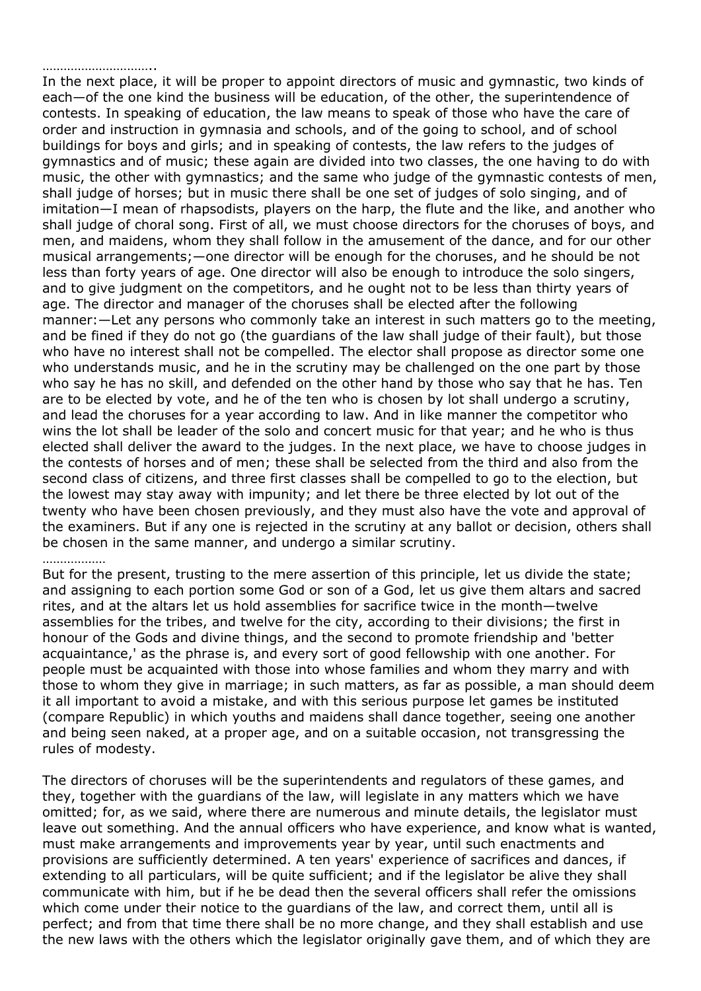### …………………………

In the next place, it will be proper to appoint directors of music and gymnastic, two kinds of each—of the one kind the business will be education, of the other, the superintendence of contests. In speaking of education, the law means to speak of those who have the care of order and instruction in gymnasia and schools, and of the going to school, and of school buildings for boys and girls; and in speaking of contests, the law refers to the judges of gymnastics and of music; these again are divided into two classes, the one having to do with music, the other with gymnastics; and the same who judge of the gymnastic contests of men, shall judge of horses; but in music there shall be one set of judges of solo singing, and of imitation—I mean of rhapsodists, players on the harp, the flute and the like, and another who shall judge of choral song. First of all, we must choose directors for the choruses of boys, and men, and maidens, whom they shall follow in the amusement of the dance, and for our other musical arrangements;—one director will be enough for the choruses, and he should be not less than forty years of age. One director will also be enough to introduce the solo singers, and to give judgment on the competitors, and he ought not to be less than thirty years of age. The director and manager of the choruses shall be elected after the following manner:—Let any persons who commonly take an interest in such matters go to the meeting, and be fined if they do not go (the guardians of the law shall judge of their fault), but those who have no interest shall not be compelled. The elector shall propose as director some one who understands music, and he in the scrutiny may be challenged on the one part by those who say he has no skill, and defended on the other hand by those who say that he has. Ten are to be elected by vote, and he of the ten who is chosen by lot shall undergo a scrutiny, and lead the choruses for a year according to law. And in like manner the competitor who wins the lot shall be leader of the solo and concert music for that year; and he who is thus elected shall deliver the award to the judges. In the next place, we have to choose judges in the contests of horses and of men; these shall be selected from the third and also from the second class of citizens, and three first classes shall be compelled to go to the election, but the lowest may stay away with impunity; and let there be three elected by lot out of the twenty who have been chosen previously, and they must also have the vote and approval of the examiners. But if any one is rejected in the scrutiny at any ballot or decision, others shall be chosen in the same manner, and undergo a similar scrutiny.

#### ………………

But for the present, trusting to the mere assertion of this principle, let us divide the state; and assigning to each portion some God or son of a God, let us give them altars and sacred rites, and at the altars let us hold assemblies for sacrifice twice in the month—twelve assemblies for the tribes, and twelve for the city, according to their divisions; the first in honour of the Gods and divine things, and the second to promote friendship and 'better acquaintance,' as the phrase is, and every sort of good fellowship with one another. For people must be acquainted with those into whose families and whom they marry and with those to whom they give in marriage; in such matters, as far as possible, a man should deem it all important to avoid a mistake, and with this serious purpose let games be instituted (compare Republic) in which youths and maidens shall dance together, seeing one another and being seen naked, at a proper age, and on a suitable occasion, not transgressing the rules of modesty.

The directors of choruses will be the superintendents and regulators of these games, and they, together with the guardians of the law, will legislate in any matters which we have omitted; for, as we said, where there are numerous and minute details, the legislator must leave out something. And the annual officers who have experience, and know what is wanted, must make arrangements and improvements year by year, until such enactments and provisions are sufficiently determined. A ten years' experience of sacrifices and dances, if extending to all particulars, will be quite sufficient; and if the legislator be alive they shall communicate with him, but if he be dead then the several officers shall refer the omissions which come under their notice to the guardians of the law, and correct them, until all is perfect; and from that time there shall be no more change, and they shall establish and use the new laws with the others which the legislator originally gave them, and of which they are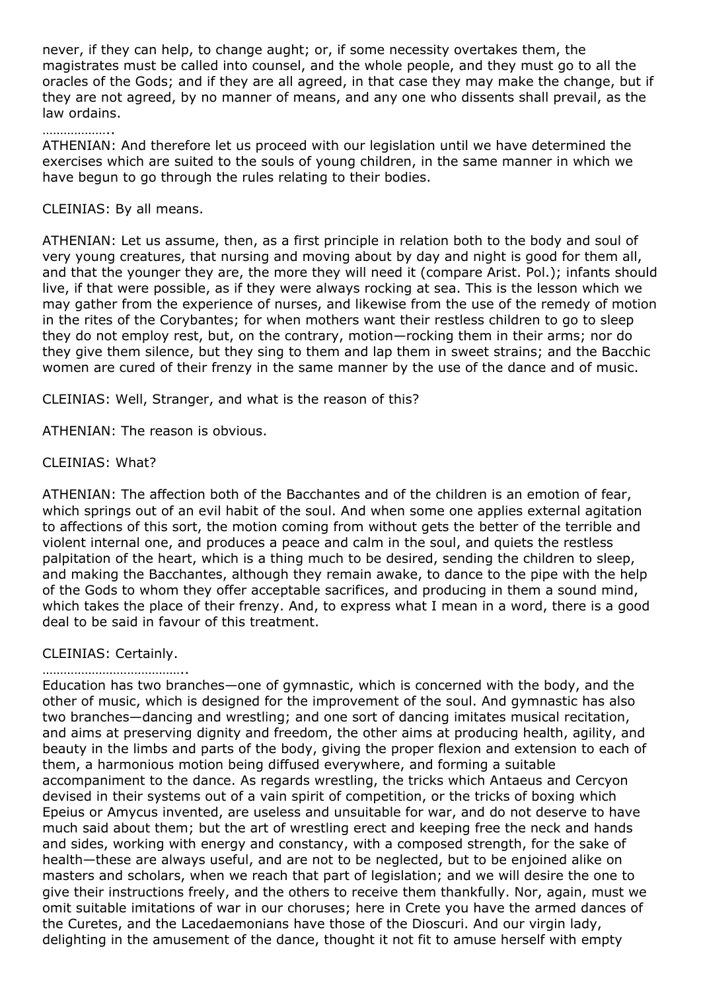never, if they can help, to change aught; or, if some necessity overtakes them, the magistrates must be called into counsel, and the whole people, and they must go to all the oracles of the Gods; and if they are all agreed, in that case they may make the change, but if they are not agreed, by no manner of means, and any one who dissents shall prevail, as the law ordains.

## ………………

ATHENIAN: And therefore let us proceed with our legislation until we have determined the exercises which are suited to the souls of young children, in the same manner in which we have begun to go through the rules relating to their bodies.

### CLEINIAS: By all means.

ATHENIAN: Let us assume, then, as a first principle in relation both to the body and soul of very young creatures, that nursing and moving about by day and night is good for them all, and that the younger they are, the more they will need it (compare Arist. Pol.); infants should live, if that were possible, as if they were always rocking at sea. This is the lesson which we may gather from the experience of nurses, and likewise from the use of the remedy of motion in the rites of the Corybantes; for when mothers want their restless children to go to sleep they do not employ rest, but, on the contrary, motion—rocking them in their arms; nor do they give them silence, but they sing to them and lap them in sweet strains; and the Bacchic women are cured of their frenzy in the same manner by the use of the dance and of music.

CLEINIAS: Well, Stranger, and what is the reason of this?

ATHENIAN: The reason is obvious.

## CLEINIAS: What?

ATHENIAN: The affection both of the Bacchantes and of the children is an emotion of fear, which springs out of an evil habit of the soul. And when some one applies external agitation to affections of this sort, the motion coming from without gets the better of the terrible and violent internal one, and produces a peace and calm in the soul, and quiets the restless palpitation of the heart, which is a thing much to be desired, sending the children to sleep, and making the Bacchantes, although they remain awake, to dance to the pipe with the help of the Gods to whom they offer acceptable sacrifices, and producing in them a sound mind, which takes the place of their frenzy. And, to express what I mean in a word, there is a good deal to be said in favour of this treatment.

## CLEINIAS: Certainly.

#### …………………………………..

Education has two branches—one of gymnastic, which is concerned with the body, and the other of music, which is designed for the improvement of the soul. And gymnastic has also two branches—dancing and wrestling; and one sort of dancing imitates musical recitation, and aims at preserving dignity and freedom, the other aims at producing health, agility, and beauty in the limbs and parts of the body, giving the proper flexion and extension to each of them, a harmonious motion being diffused everywhere, and forming a suitable accompaniment to the dance. As regards wrestling, the tricks which Antaeus and Cercyon devised in their systems out of a vain spirit of competition, or the tricks of boxing which Epeius or Amycus invented, are useless and unsuitable for war, and do not deserve to have much said about them; but the art of wrestling erect and keeping free the neck and hands and sides, working with energy and constancy, with a composed strength, for the sake of health—these are always useful, and are not to be neglected, but to be enjoined alike on masters and scholars, when we reach that part of legislation; and we will desire the one to give their instructions freely, and the others to receive them thankfully. Nor, again, must we omit suitable imitations of war in our choruses; here in Crete you have the armed dances of the Curetes, and the Lacedaemonians have those of the Dioscuri. And our virgin lady, delighting in the amusement of the dance, thought it not fit to amuse herself with empty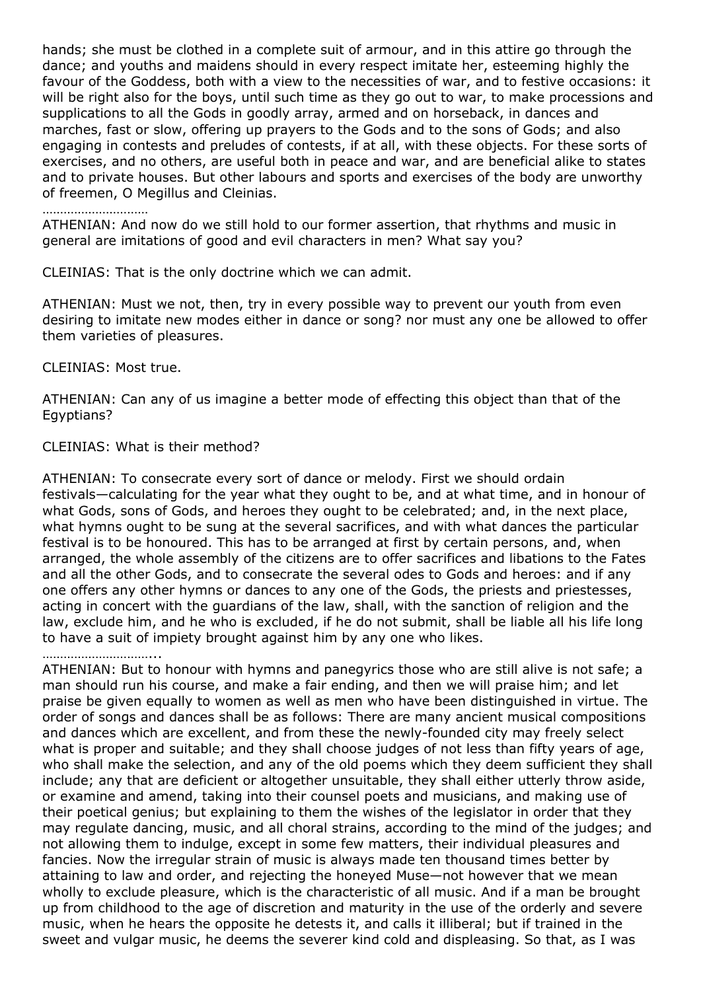hands; she must be clothed in a complete suit of armour, and in this attire go through the dance; and youths and maidens should in every respect imitate her, esteeming highly the favour of the Goddess, both with a view to the necessities of war, and to festive occasions: it will be right also for the boys, until such time as they go out to war, to make processions and supplications to all the Gods in goodly array, armed and on horseback, in dances and marches, fast or slow, offering up prayers to the Gods and to the sons of Gods; and also engaging in contests and preludes of contests, if at all, with these objects. For these sorts of exercises, and no others, are useful both in peace and war, and are beneficial alike to states and to private houses. But other labours and sports and exercises of the body are unworthy of freemen, O Megillus and Cleinias.

### ……………………………

ATHENIAN: And now do we still hold to our former assertion, that rhythms and music in general are imitations of good and evil characters in men? What say you?

CLEINIAS: That is the only doctrine which we can admit.

ATHENIAN: Must we not, then, try in every possible way to prevent our youth from even desiring to imitate new modes either in dance or song? nor must any one be allowed to offer them varieties of pleasures.

#### CLEINIAS: Most true.

ATHENIAN: Can any of us imagine a better mode of effecting this object than that of the Egyptians?

#### CLEINIAS: What is their method?

ATHENIAN: To consecrate every sort of dance or melody. First we should ordain festivals—calculating for the year what they ought to be, and at what time, and in honour of what Gods, sons of Gods, and heroes they ought to be celebrated; and, in the next place, what hymns ought to be sung at the several sacrifices, and with what dances the particular festival is to be honoured. This has to be arranged at first by certain persons, and, when arranged, the whole assembly of the citizens are to offer sacrifices and libations to the Fates and all the other Gods, and to consecrate the several odes to Gods and heroes: and if any one offers any other hymns or dances to any one of the Gods, the priests and priestesses, acting in concert with the guardians of the law, shall, with the sanction of religion and the law, exclude him, and he who is excluded, if he do not submit, shall be liable all his life long to have a suit of impiety brought against him by any one who likes.

### …………………………...

ATHENIAN: But to honour with hymns and panegyrics those who are still alive is not safe; a man should run his course, and make a fair ending, and then we will praise him; and let praise be given equally to women as well as men who have been distinguished in virtue. The order of songs and dances shall be as follows: There are many ancient musical compositions and dances which are excellent, and from these the newly-founded city may freely select what is proper and suitable; and they shall choose judges of not less than fifty years of age, who shall make the selection, and any of the old poems which they deem sufficient they shall include; any that are deficient or altogether unsuitable, they shall either utterly throw aside, or examine and amend, taking into their counsel poets and musicians, and making use of their poetical genius; but explaining to them the wishes of the legislator in order that they may regulate dancing, music, and all choral strains, according to the mind of the judges; and not allowing them to indulge, except in some few matters, their individual pleasures and fancies. Now the irregular strain of music is always made ten thousand times better by attaining to law and order, and rejecting the honeyed Muse—not however that we mean wholly to exclude pleasure, which is the characteristic of all music. And if a man be brought up from childhood to the age of discretion and maturity in the use of the orderly and severe music, when he hears the opposite he detests it, and calls it illiberal; but if trained in the sweet and vulgar music, he deems the severer kind cold and displeasing. So that, as I was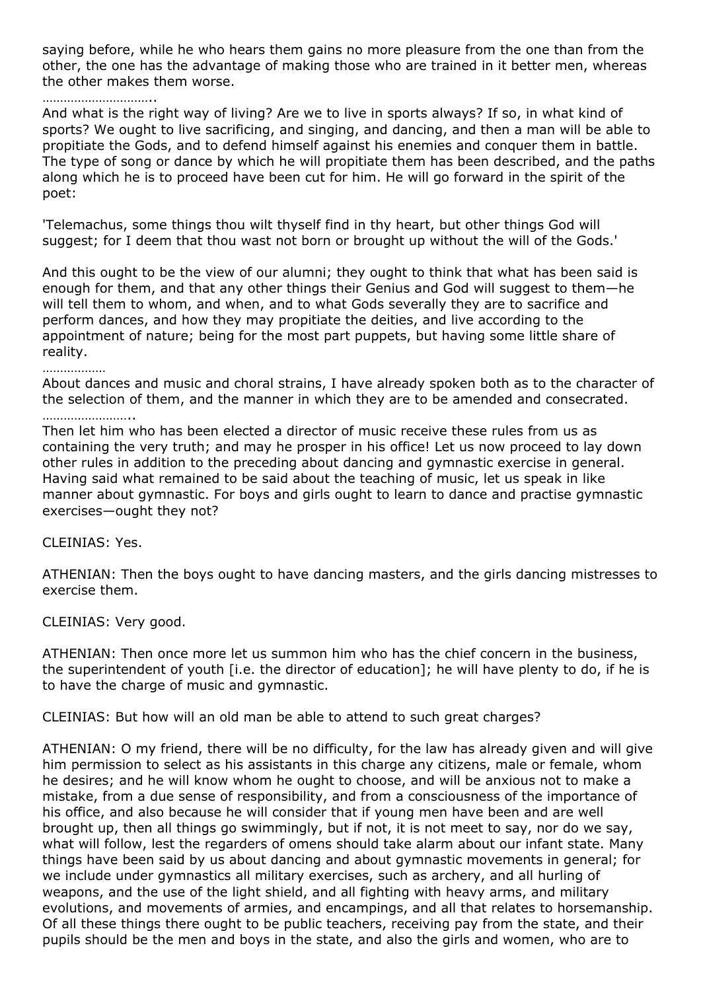saying before, while he who hears them gains no more pleasure from the one than from the other, the one has the advantage of making those who are trained in it better men, whereas the other makes them worse.

### ……………………………

And what is the right way of living? Are we to live in sports always? If so, in what kind of sports? We ought to live sacrificing, and singing, and dancing, and then a man will be able to propitiate the Gods, and to defend himself against his enemies and conquer them in battle. The type of song or dance by which he will propitiate them has been described, and the paths along which he is to proceed have been cut for him. He will go forward in the spirit of the poet:

'Telemachus, some things thou wilt thyself find in thy heart, but other things God will suggest; for I deem that thou wast not born or brought up without the will of the Gods.'

And this ought to be the view of our alumni; they ought to think that what has been said is enough for them, and that any other things their Genius and God will suggest to them—he will tell them to whom, and when, and to what Gods severally they are to sacrifice and perform dances, and how they may propitiate the deities, and live according to the appointment of nature; being for the most part puppets, but having some little share of reality.

#### ………………

About dances and music and choral strains, I have already spoken both as to the character of the selection of them, and the manner in which they are to be amended and consecrated.

………………………

Then let him who has been elected a director of music receive these rules from us as containing the very truth; and may he prosper in his office! Let us now proceed to lay down other rules in addition to the preceding about dancing and gymnastic exercise in general. Having said what remained to be said about the teaching of music, let us speak in like manner about gymnastic. For boys and girls ought to learn to dance and practise gymnastic exercises—ought they not?

CLEINIAS: Yes.

ATHENIAN: Then the boys ought to have dancing masters, and the girls dancing mistresses to exercise them.

CLEINIAS: Very good.

ATHENIAN: Then once more let us summon him who has the chief concern in the business, the superintendent of youth [i.e. the director of education]; he will have plenty to do, if he is to have the charge of music and gymnastic.

CLEINIAS: But how will an old man be able to attend to such great charges?

ATHENIAN: O my friend, there will be no difficulty, for the law has already given and will give him permission to select as his assistants in this charge any citizens, male or female, whom he desires; and he will know whom he ought to choose, and will be anxious not to make a mistake, from a due sense of responsibility, and from a consciousness of the importance of his office, and also because he will consider that if young men have been and are well brought up, then all things go swimmingly, but if not, it is not meet to say, nor do we say, what will follow, lest the regarders of omens should take alarm about our infant state. Many things have been said by us about dancing and about gymnastic movements in general; for we include under gymnastics all military exercises, such as archery, and all hurling of weapons, and the use of the light shield, and all fighting with heavy arms, and military evolutions, and movements of armies, and encampings, and all that relates to horsemanship. Of all these things there ought to be public teachers, receiving pay from the state, and their pupils should be the men and boys in the state, and also the girls and women, who are to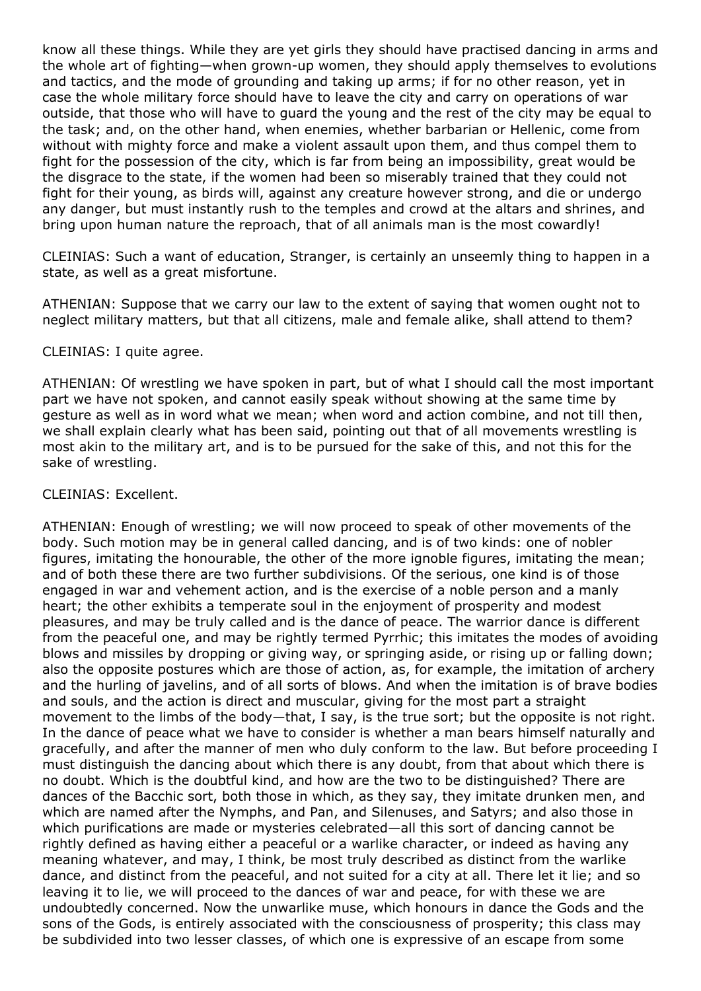know all these things. While they are yet girls they should have practised dancing in arms and the whole art of fighting—when grown-up women, they should apply themselves to evolutions and tactics, and the mode of grounding and taking up arms; if for no other reason, yet in case the whole military force should have to leave the city and carry on operations of war outside, that those who will have to guard the young and the rest of the city may be equal to the task; and, on the other hand, when enemies, whether barbarian or Hellenic, come from without with mighty force and make a violent assault upon them, and thus compel them to fight for the possession of the city, which is far from being an impossibility, great would be the disgrace to the state, if the women had been so miserably trained that they could not fight for their young, as birds will, against any creature however strong, and die or undergo any danger, but must instantly rush to the temples and crowd at the altars and shrines, and bring upon human nature the reproach, that of all animals man is the most cowardly!

CLEINIAS: Such a want of education, Stranger, is certainly an unseemly thing to happen in a state, as well as a great misfortune.

ATHENIAN: Suppose that we carry our law to the extent of saying that women ought not to neglect military matters, but that all citizens, male and female alike, shall attend to them?

## CLEINIAS: I quite agree.

ATHENIAN: Of wrestling we have spoken in part, but of what I should call the most important part we have not spoken, and cannot easily speak without showing at the same time by gesture as well as in word what we mean; when word and action combine, and not till then, we shall explain clearly what has been said, pointing out that of all movements wrestling is most akin to the military art, and is to be pursued for the sake of this, and not this for the sake of wrestling.

## CLEINIAS: Excellent.

ATHENIAN: Enough of wrestling; we will now proceed to speak of other movements of the body. Such motion may be in general called dancing, and is of two kinds: one of nobler figures, imitating the honourable, the other of the more ignoble figures, imitating the mean; and of both these there are two further subdivisions. Of the serious, one kind is of those engaged in war and vehement action, and is the exercise of a noble person and a manly heart; the other exhibits a temperate soul in the enjoyment of prosperity and modest pleasures, and may be truly called and is the dance of peace. The warrior dance is different from the peaceful one, and may be rightly termed Pyrrhic; this imitates the modes of avoiding blows and missiles by dropping or giving way, or springing aside, or rising up or falling down; also the opposite postures which are those of action, as, for example, the imitation of archery and the hurling of javelins, and of all sorts of blows. And when the imitation is of brave bodies and souls, and the action is direct and muscular, giving for the most part a straight movement to the limbs of the body—that, I say, is the true sort; but the opposite is not right. In the dance of peace what we have to consider is whether a man bears himself naturally and gracefully, and after the manner of men who duly conform to the law. But before proceeding I must distinguish the dancing about which there is any doubt, from that about which there is no doubt. Which is the doubtful kind, and how are the two to be distinguished? There are dances of the Bacchic sort, both those in which, as they say, they imitate drunken men, and which are named after the Nymphs, and Pan, and Silenuses, and Satyrs; and also those in which purifications are made or mysteries celebrated—all this sort of dancing cannot be rightly defined as having either a peaceful or a warlike character, or indeed as having any meaning whatever, and may, I think, be most truly described as distinct from the warlike dance, and distinct from the peaceful, and not suited for a city at all. There let it lie; and so leaving it to lie, we will proceed to the dances of war and peace, for with these we are undoubtedly concerned. Now the unwarlike muse, which honours in dance the Gods and the sons of the Gods, is entirely associated with the consciousness of prosperity; this class may be subdivided into two lesser classes, of which one is expressive of an escape from some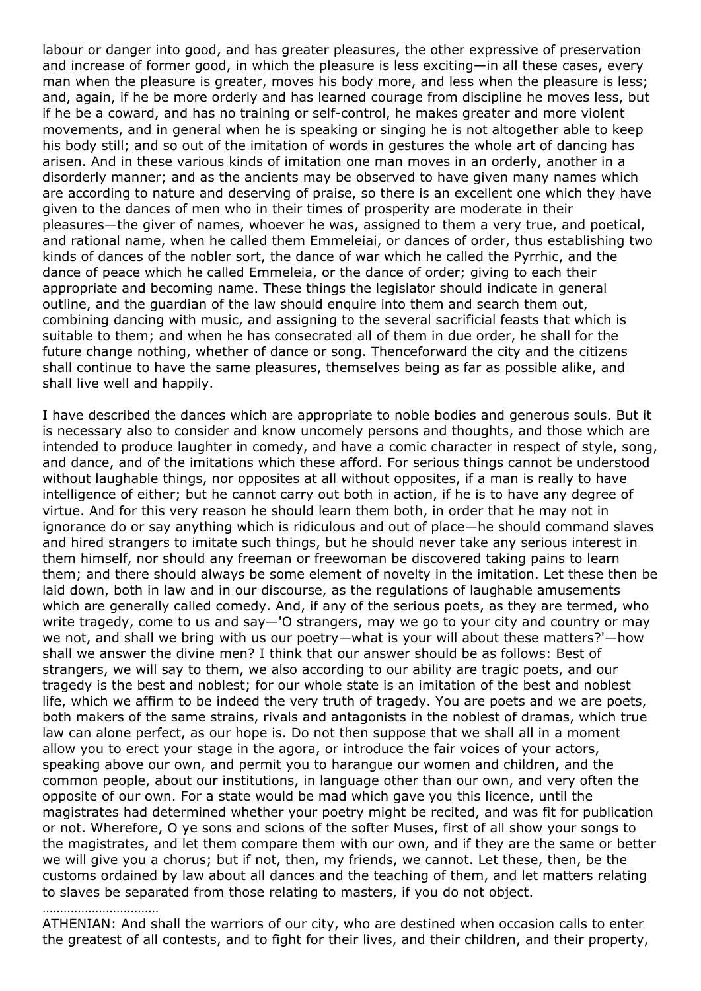labour or danger into good, and has greater pleasures, the other expressive of preservation and increase of former good, in which the pleasure is less exciting—in all these cases, every man when the pleasure is greater, moves his body more, and less when the pleasure is less; and, again, if he be more orderly and has learned courage from discipline he moves less, but if he be a coward, and has no training or self-control, he makes greater and more violent movements, and in general when he is speaking or singing he is not altogether able to keep his body still; and so out of the imitation of words in gestures the whole art of dancing has arisen. And in these various kinds of imitation one man moves in an orderly, another in a disorderly manner; and as the ancients may be observed to have given many names which are according to nature and deserving of praise, so there is an excellent one which they have given to the dances of men who in their times of prosperity are moderate in their pleasures—the giver of names, whoever he was, assigned to them a very true, and poetical, and rational name, when he called them Emmeleiai, or dances of order, thus establishing two kinds of dances of the nobler sort, the dance of war which he called the Pyrrhic, and the dance of peace which he called Emmeleia, or the dance of order; giving to each their appropriate and becoming name. These things the legislator should indicate in general outline, and the guardian of the law should enquire into them and search them out, combining dancing with music, and assigning to the several sacrificial feasts that which is suitable to them; and when he has consecrated all of them in due order, he shall for the future change nothing, whether of dance or song. Thenceforward the city and the citizens shall continue to have the same pleasures, themselves being as far as possible alike, and shall live well and happily.

I have described the dances which are appropriate to noble bodies and generous souls. But it is necessary also to consider and know uncomely persons and thoughts, and those which are intended to produce laughter in comedy, and have a comic character in respect of style, song, and dance, and of the imitations which these afford. For serious things cannot be understood without laughable things, nor opposites at all without opposites, if a man is really to have intelligence of either; but he cannot carry out both in action, if he is to have any degree of virtue. And for this very reason he should learn them both, in order that he may not in ignorance do or say anything which is ridiculous and out of place—he should command slaves and hired strangers to imitate such things, but he should never take any serious interest in them himself, nor should any freeman or freewoman be discovered taking pains to learn them; and there should always be some element of novelty in the imitation. Let these then be laid down, both in law and in our discourse, as the regulations of laughable amusements which are generally called comedy. And, if any of the serious poets, as they are termed, who write tragedy, come to us and say—'O strangers, may we go to your city and country or may we not, and shall we bring with us our poetry—what is your will about these matters?'—how shall we answer the divine men? I think that our answer should be as follows: Best of strangers, we will say to them, we also according to our ability are tragic poets, and our tragedy is the best and noblest; for our whole state is an imitation of the best and noblest life, which we affirm to be indeed the very truth of tragedy. You are poets and we are poets, both makers of the same strains, rivals and antagonists in the noblest of dramas, which true law can alone perfect, as our hope is. Do not then suppose that we shall all in a moment allow you to erect your stage in the agora, or introduce the fair voices of your actors, speaking above our own, and permit you to harangue our women and children, and the common people, about our institutions, in language other than our own, and very often the opposite of our own. For a state would be mad which gave you this licence, until the magistrates had determined whether your poetry might be recited, and was fit for publication or not. Wherefore, O ye sons and scions of the softer Muses, first of all show your songs to the magistrates, and let them compare them with our own, and if they are the same or better we will give you a chorus; but if not, then, my friends, we cannot. Let these, then, be the customs ordained by law about all dances and the teaching of them, and let matters relating to slaves be separated from those relating to masters, if you do not object.

## …………………………

ATHENIAN: And shall the warriors of our city, who are destined when occasion calls to enter the greatest of all contests, and to fight for their lives, and their children, and their property,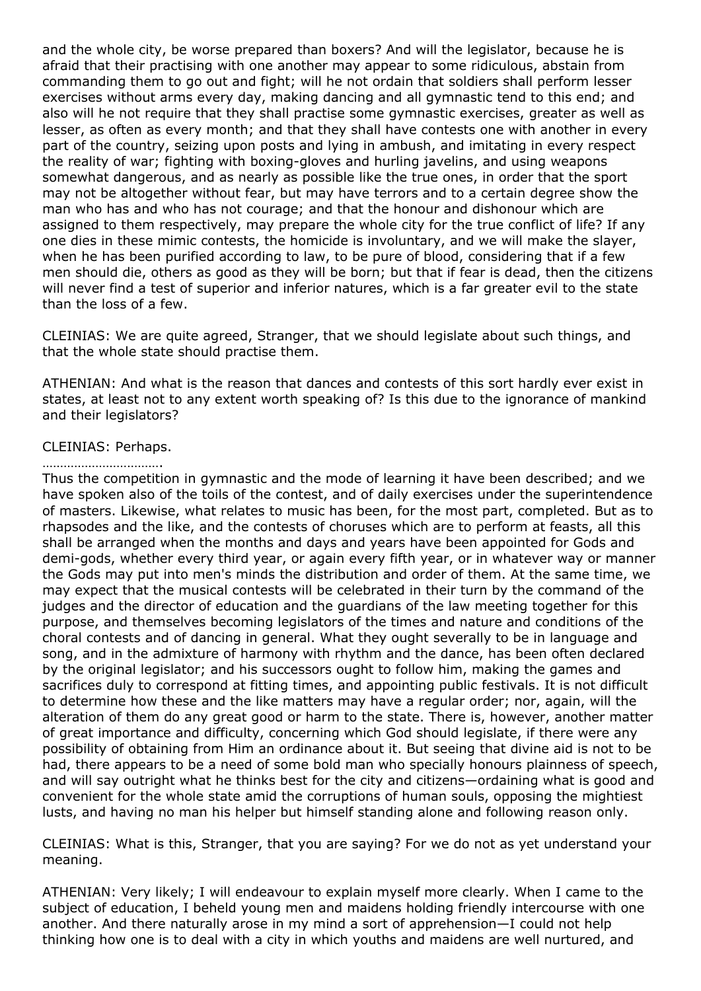and the whole city, be worse prepared than boxers? And will the legislator, because he is afraid that their practising with one another may appear to some ridiculous, abstain from commanding them to go out and fight; will he not ordain that soldiers shall perform lesser exercises without arms every day, making dancing and all gymnastic tend to this end; and also will he not require that they shall practise some gymnastic exercises, greater as well as lesser, as often as every month; and that they shall have contests one with another in every part of the country, seizing upon posts and lying in ambush, and imitating in every respect the reality of war; fighting with boxing-gloves and hurling javelins, and using weapons somewhat dangerous, and as nearly as possible like the true ones, in order that the sport may not be altogether without fear, but may have terrors and to a certain degree show the man who has and who has not courage; and that the honour and dishonour which are assigned to them respectively, may prepare the whole city for the true conflict of life? If any one dies in these mimic contests, the homicide is involuntary, and we will make the slayer, when he has been purified according to law, to be pure of blood, considering that if a few men should die, others as good as they will be born; but that if fear is dead, then the citizens will never find a test of superior and inferior natures, which is a far greater evil to the state than the loss of a few.

CLEINIAS: We are quite agreed, Stranger, that we should legislate about such things, and that the whole state should practise them.

ATHENIAN: And what is the reason that dances and contests of this sort hardly ever exist in states, at least not to any extent worth speaking of? Is this due to the ignorance of mankind and their legislators?

## CLEINIAS: Perhaps.

#### …………………………….

Thus the competition in gymnastic and the mode of learning it have been described; and we have spoken also of the toils of the contest, and of daily exercises under the superintendence of masters. Likewise, what relates to music has been, for the most part, completed. But as to rhapsodes and the like, and the contests of choruses which are to perform at feasts, all this shall be arranged when the months and days and years have been appointed for Gods and demi-gods, whether every third year, or again every fifth year, or in whatever way or manner the Gods may put into men's minds the distribution and order of them. At the same time, we may expect that the musical contests will be celebrated in their turn by the command of the judges and the director of education and the guardians of the law meeting together for this purpose, and themselves becoming legislators of the times and nature and conditions of the choral contests and of dancing in general. What they ought severally to be in language and song, and in the admixture of harmony with rhythm and the dance, has been often declared by the original legislator; and his successors ought to follow him, making the games and sacrifices duly to correspond at fitting times, and appointing public festivals. It is not difficult to determine how these and the like matters may have a regular order; nor, again, will the alteration of them do any great good or harm to the state. There is, however, another matter of great importance and difficulty, concerning which God should legislate, if there were any possibility of obtaining from Him an ordinance about it. But seeing that divine aid is not to be had, there appears to be a need of some bold man who specially honours plainness of speech, and will say outright what he thinks best for the city and citizens—ordaining what is good and convenient for the whole state amid the corruptions of human souls, opposing the mightiest lusts, and having no man his helper but himself standing alone and following reason only.

CLEINIAS: What is this, Stranger, that you are saying? For we do not as yet understand your meaning.

ATHENIAN: Very likely; I will endeavour to explain myself more clearly. When I came to the subject of education, I beheld young men and maidens holding friendly intercourse with one another. And there naturally arose in my mind a sort of apprehension—I could not help thinking how one is to deal with a city in which youths and maidens are well nurtured, and